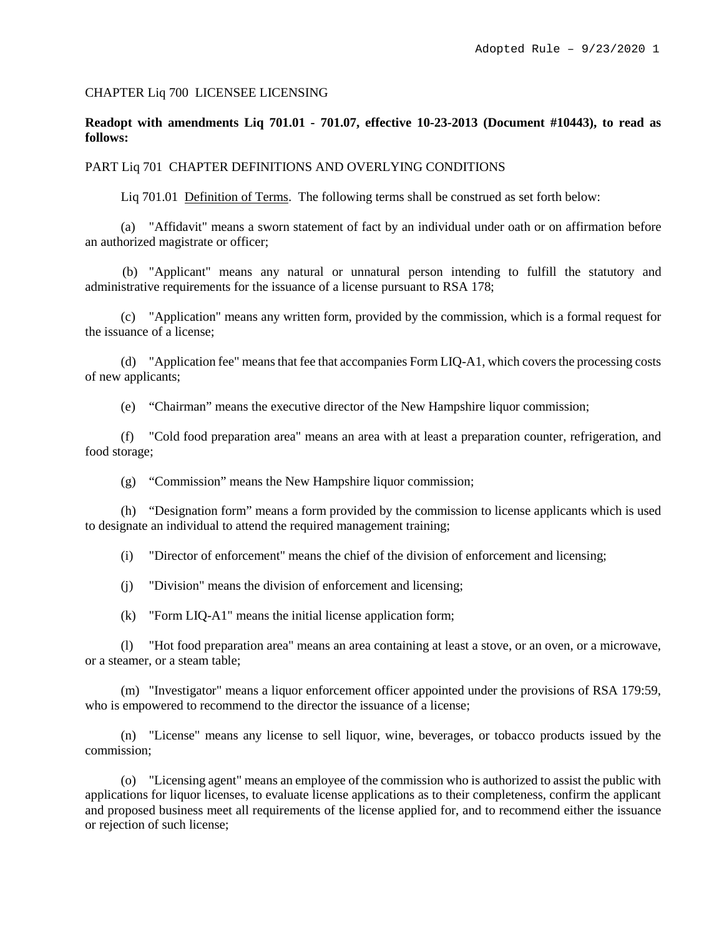### CHAPTER Liq 700 LICENSEE LICENSING

# **Readopt with amendments Liq 701.01 - 701.07, effective 10-23-2013 (Document #10443), to read as follows:**

#### PART Liq 701 CHAPTER DEFINITIONS AND OVERLYING CONDITIONS

Liq 701.01 Definition of Terms. The following terms shall be construed as set forth below:

(a) "Affidavit" means a sworn statement of fact by an individual under oath or on affirmation before an authorized magistrate or officer;

(b) "Applicant" means any natural or unnatural person intending to fulfill the statutory and administrative requirements for the issuance of a license pursuant to RSA 178;

(c) "Application" means any written form, provided by the commission, which is a formal request for the issuance of a license;

(d) "Application fee" means that fee that accompanies Form LIQ-A1, which covers the processing costs of new applicants;

(e) "Chairman" means the executive director of the New Hampshire liquor commission;

(f) "Cold food preparation area" means an area with at least a preparation counter, refrigeration, and food storage;

(g) "Commission" means the New Hampshire liquor commission;

(h) "Designation form" means a form provided by the commission to license applicants which is used to designate an individual to attend the required management training;

(i) "Director of enforcement" means the chief of the division of enforcement and licensing;

(j) "Division" means the division of enforcement and licensing;

(k) "Form LIQ-A1" means the initial license application form;

(l) "Hot food preparation area" means an area containing at least a stove, or an oven, or a microwave, or a steamer, or a steam table;

(m) "Investigator" means a liquor enforcement officer appointed under the provisions of RSA 179:59, who is empowered to recommend to the director the issuance of a license;

(n) "License" means any license to sell liquor, wine, beverages, or tobacco products issued by the commission;

(o) "Licensing agent" means an employee of the commission who is authorized to assist the public with applications for liquor licenses, to evaluate license applications as to their completeness, confirm the applicant and proposed business meet all requirements of the license applied for, and to recommend either the issuance or rejection of such license;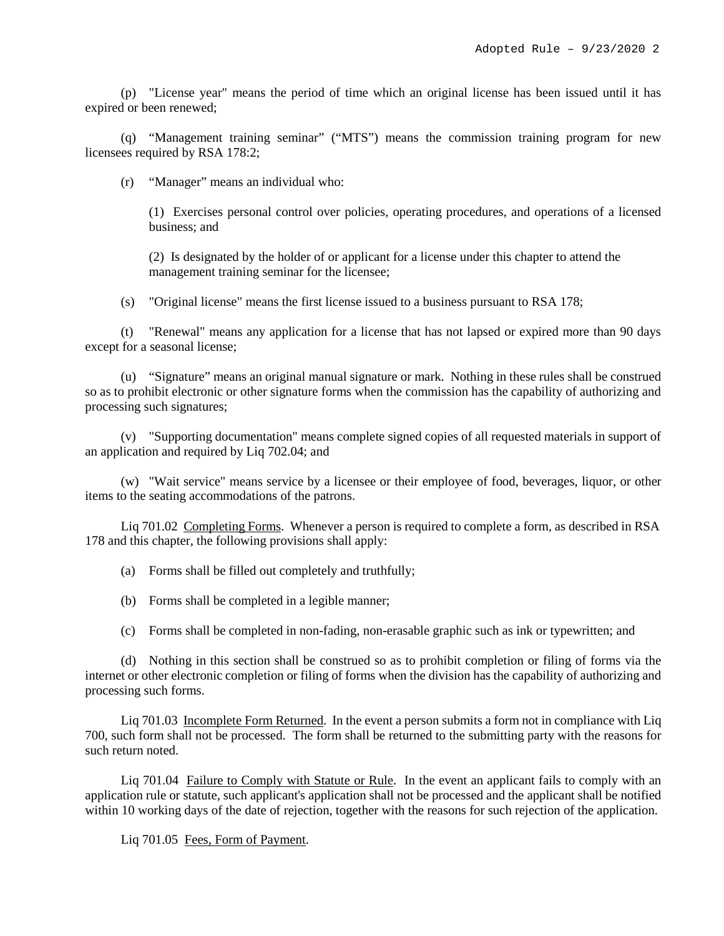(p) "License year" means the period of time which an original license has been issued until it has expired or been renewed;

(q) "Management training seminar" ("MTS") means the commission training program for new licensees required by RSA 178:2;

(r) "Manager" means an individual who:

(1) Exercises personal control over policies, operating procedures, and operations of a licensed business; and

(2) Is designated by the holder of or applicant for a license under this chapter to attend the management training seminar for the licensee;

(s) "Original license" means the first license issued to a business pursuant to RSA 178;

(t) "Renewal" means any application for a license that has not lapsed or expired more than 90 days except for a seasonal license;

(u) "Signature" means an original manual signature or mark. Nothing in these rules shall be construed so as to prohibit electronic or other signature forms when the commission has the capability of authorizing and processing such signatures;

(v) "Supporting documentation" means complete signed copies of all requested materials in support of an application and required by Liq 702.04; and

(w) "Wait service" means service by a licensee or their employee of food, beverages, liquor, or other items to the seating accommodations of the patrons.

Liq 701.02 Completing Forms. Whenever a person is required to complete a form, as described in RSA 178 and this chapter, the following provisions shall apply:

(a) Forms shall be filled out completely and truthfully;

(b) Forms shall be completed in a legible manner;

(c) Forms shall be completed in non-fading, non-erasable graphic such as ink or typewritten; and

(d) Nothing in this section shall be construed so as to prohibit completion or filing of forms via the internet or other electronic completion or filing of forms when the division has the capability of authorizing and processing such forms.

Liq 701.03 Incomplete Form Returned. In the event a person submits a form not in compliance with Liq 700, such form shall not be processed. The form shall be returned to the submitting party with the reasons for such return noted.

Liq 701.04 Failure to Comply with Statute or Rule. In the event an applicant fails to comply with an application rule or statute, such applicant's application shall not be processed and the applicant shall be notified within 10 working days of the date of rejection, together with the reasons for such rejection of the application.

Liq 701.05 Fees, Form of Payment.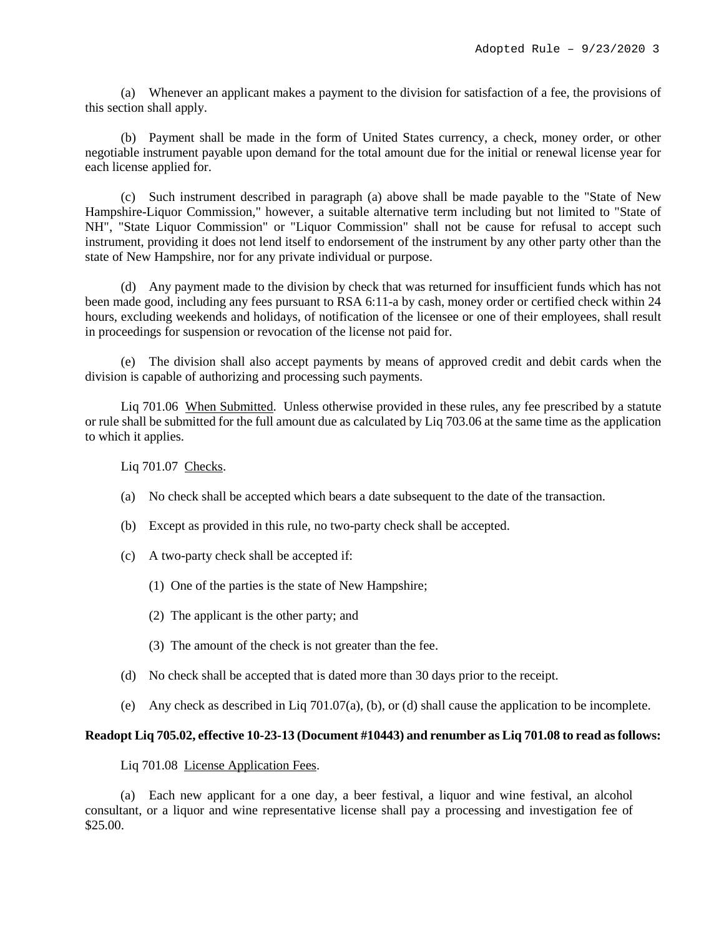(a) Whenever an applicant makes a payment to the division for satisfaction of a fee, the provisions of this section shall apply.

(b) Payment shall be made in the form of United States currency, a check, money order, or other negotiable instrument payable upon demand for the total amount due for the initial or renewal license year for each license applied for.

(c) Such instrument described in paragraph (a) above shall be made payable to the "State of New Hampshire-Liquor Commission," however, a suitable alternative term including but not limited to "State of NH", "State Liquor Commission" or "Liquor Commission" shall not be cause for refusal to accept such instrument, providing it does not lend itself to endorsement of the instrument by any other party other than the state of New Hampshire, nor for any private individual or purpose.

(d) Any payment made to the division by check that was returned for insufficient funds which has not been made good, including any fees pursuant to RSA 6:11-a by cash, money order or certified check within 24 hours, excluding weekends and holidays, of notification of the licensee or one of their employees, shall result in proceedings for suspension or revocation of the license not paid for.

(e) The division shall also accept payments by means of approved credit and debit cards when the division is capable of authorizing and processing such payments.

Liq 701.06 When Submitted. Unless otherwise provided in these rules, any fee prescribed by a statute or rule shall be submitted for the full amount due as calculated by Liq 703.06 at the same time as the application to which it applies.

Liq 701.07 Checks.

- (a) No check shall be accepted which bears a date subsequent to the date of the transaction.
- (b) Except as provided in this rule, no two-party check shall be accepted.
- (c) A two-party check shall be accepted if:
	- (1) One of the parties is the state of New Hampshire;
	- (2) The applicant is the other party; and
	- (3) The amount of the check is not greater than the fee.
- (d) No check shall be accepted that is dated more than 30 days prior to the receipt.
- (e) Any check as described in Liq 701.07(a), (b), or (d) shall cause the application to be incomplete.

### **Readopt Liq 705.02, effective 10-23-13 (Document #10443) and renumber as Liq 701.08 to read as follows:**

Liq 701.08 License Application Fees.

(a) Each new applicant for a one day, a beer festival, a liquor and wine festival, an alcohol consultant, or a liquor and wine representative license shall pay a processing and investigation fee of \$25.00.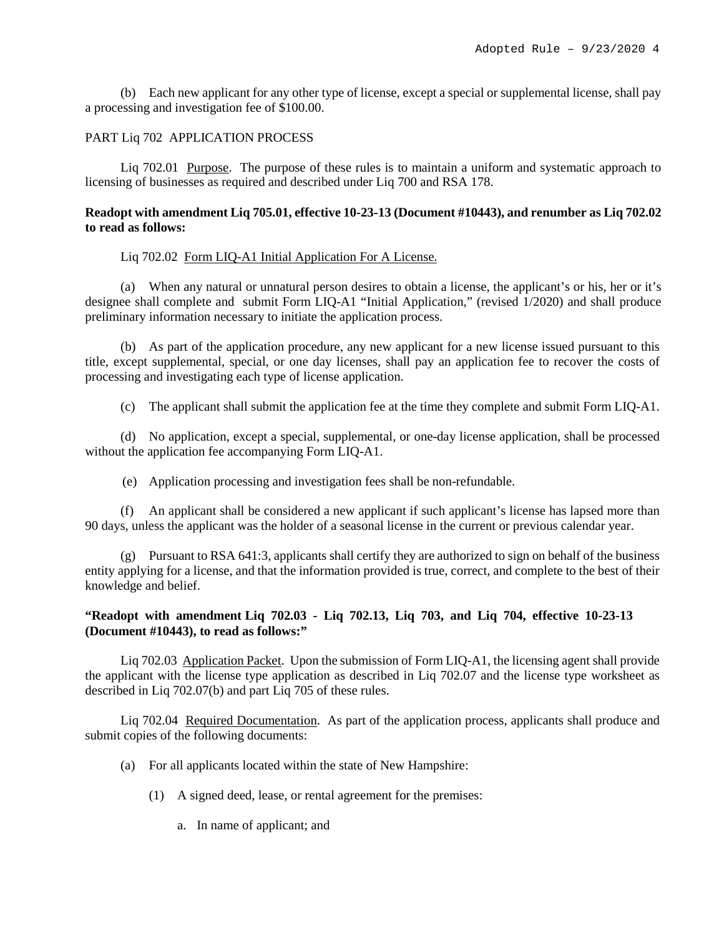(b) Each new applicant for any other type of license, except a special or supplemental license, shall pay a processing and investigation fee of \$100.00.

### PART Liq 702 APPLICATION PROCESS

Liq 702.01 Purpose. The purpose of these rules is to maintain a uniform and systematic approach to licensing of businesses as required and described under Liq 700 and RSA 178.

# **Readopt with amendment Liq 705.01, effective 10-23-13 (Document #10443), and renumber as Liq 702.02 to read as follows:**

## Liq 702.02 Form LIQ-A1 Initial Application For A License.

(a) When any natural or unnatural person desires to obtain a license, the applicant's or his, her or it's designee shall complete and submit Form LIQ-A1 "Initial Application," (revised 1/2020) and shall produce preliminary information necessary to initiate the application process.

(b) As part of the application procedure, any new applicant for a new license issued pursuant to this title, except supplemental, special, or one day licenses, shall pay an application fee to recover the costs of processing and investigating each type of license application.

(c) The applicant shall submit the application fee at the time they complete and submit Form LIQ-A1.

(d) No application, except a special, supplemental, or one-day license application, shall be processed without the application fee accompanying Form LIQ-A1.

(e) Application processing and investigation fees shall be non-refundable.

(f) An applicant shall be considered a new applicant if such applicant's license has lapsed more than 90 days, unless the applicant was the holder of a seasonal license in the current or previous calendar year.

(g) Pursuant to RSA 641:3, applicants shall certify they are authorized to sign on behalf of the business entity applying for a license, and that the information provided is true, correct, and complete to the best of their knowledge and belief.

# **"Readopt with amendment Liq 702.03 - Liq 702.13, Liq 703, and Liq 704, effective 10-23-13 (Document #10443), to read as follows:"**

Liq 702.03 Application Packet. Upon the submission of Form LIQ-A1, the licensing agent shall provide the applicant with the license type application as described in Liq 702.07 and the license type worksheet as described in Liq 702.07(b) and part Liq 705 of these rules.

Liq 702.04 Required Documentation. As part of the application process, applicants shall produce and submit copies of the following documents:

- (a) For all applicants located within the state of New Hampshire:
	- (1) A signed deed, lease, or rental agreement for the premises:
		- a. In name of applicant; and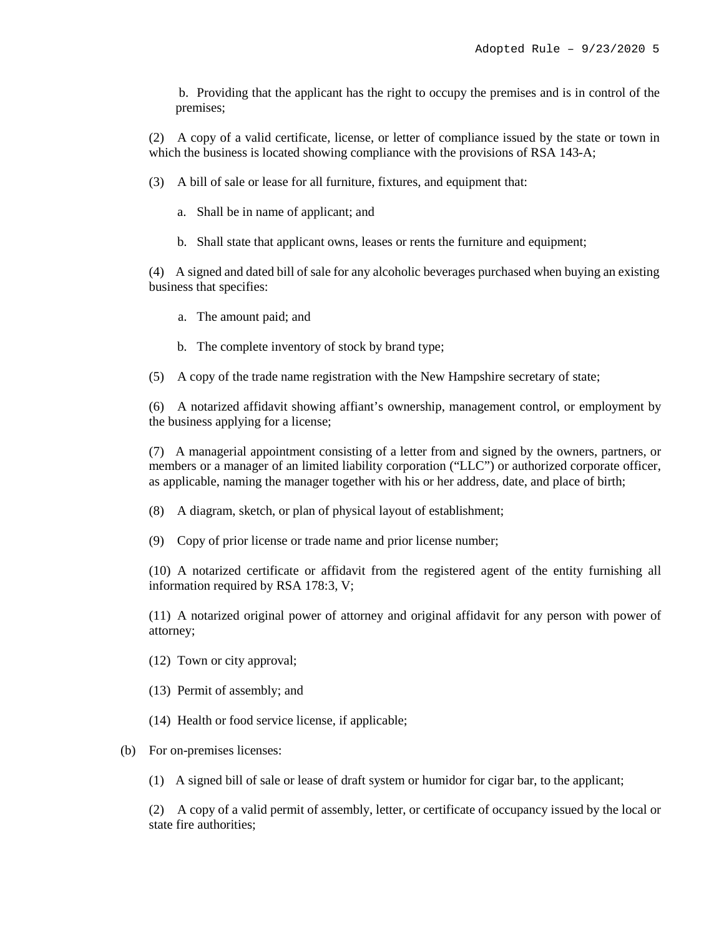b. Providing that the applicant has the right to occupy the premises and is in control of the premises;

(2) A copy of a valid certificate, license, or letter of compliance issued by the state or town in which the business is located showing compliance with the provisions of RSA 143-A;

(3) A bill of sale or lease for all furniture, fixtures, and equipment that:

- a. Shall be in name of applicant; and
- b. Shall state that applicant owns, leases or rents the furniture and equipment;

(4) A signed and dated bill of sale for any alcoholic beverages purchased when buying an existing business that specifies:

- a. The amount paid; and
- b. The complete inventory of stock by brand type;
- (5) A copy of the trade name registration with the New Hampshire secretary of state;

(6) A notarized affidavit showing affiant's ownership, management control, or employment by the business applying for a license;

(7) A managerial appointment consisting of a letter from and signed by the owners, partners, or members or a manager of an limited liability corporation ("LLC") or authorized corporate officer, as applicable, naming the manager together with his or her address, date, and place of birth;

(8) A diagram, sketch, or plan of physical layout of establishment;

(9) Copy of prior license or trade name and prior license number;

(10) A notarized certificate or affidavit from the registered agent of the entity furnishing all information required by RSA 178:3, V;

(11) A notarized original power of attorney and original affidavit for any person with power of attorney;

- (12) Town or city approval;
- (13) Permit of assembly; and
- (14) Health or food service license, if applicable;

### (b) For on-premises licenses:

(1) A signed bill of sale or lease of draft system or humidor for cigar bar, to the applicant;

(2) A copy of a valid permit of assembly, letter, or certificate of occupancy issued by the local or state fire authorities;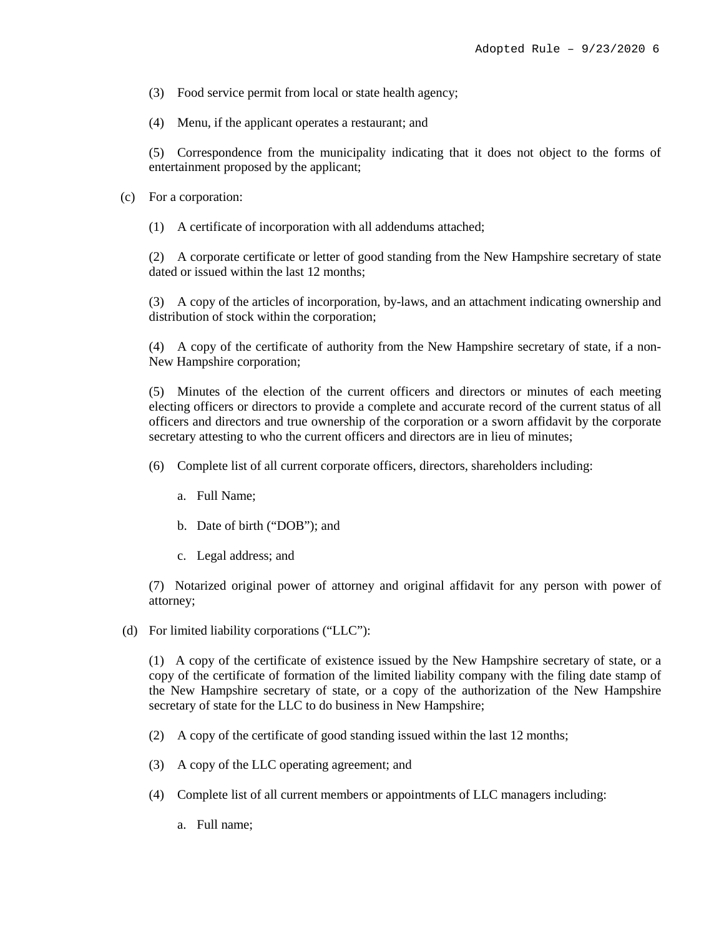- (3) Food service permit from local or state health agency;
- (4) Menu, if the applicant operates a restaurant; and

(5) Correspondence from the municipality indicating that it does not object to the forms of entertainment proposed by the applicant;

- (c) For a corporation:
	- (1) A certificate of incorporation with all addendums attached;

(2) A corporate certificate or letter of good standing from the New Hampshire secretary of state dated or issued within the last 12 months;

(3) A copy of the articles of incorporation, by-laws, and an attachment indicating ownership and distribution of stock within the corporation;

(4) A copy of the certificate of authority from the New Hampshire secretary of state, if a non-New Hampshire corporation;

(5) Minutes of the election of the current officers and directors or minutes of each meeting electing officers or directors to provide a complete and accurate record of the current status of all officers and directors and true ownership of the corporation or a sworn affidavit by the corporate secretary attesting to who the current officers and directors are in lieu of minutes;

- (6) Complete list of all current corporate officers, directors, shareholders including:
	- a. Full Name;
	- b. Date of birth ("DOB"); and
	- c. Legal address; and

(7) Notarized original power of attorney and original affidavit for any person with power of attorney;

(d) For limited liability corporations ("LLC"):

(1) A copy of the certificate of existence issued by the New Hampshire secretary of state, or a copy of the certificate of formation of the limited liability company with the filing date stamp of the New Hampshire secretary of state, or a copy of the authorization of the New Hampshire secretary of state for the LLC to do business in New Hampshire;

- (2) A copy of the certificate of good standing issued within the last 12 months;
- (3) A copy of the LLC operating agreement; and
- (4) Complete list of all current members or appointments of LLC managers including:
	- a. Full name;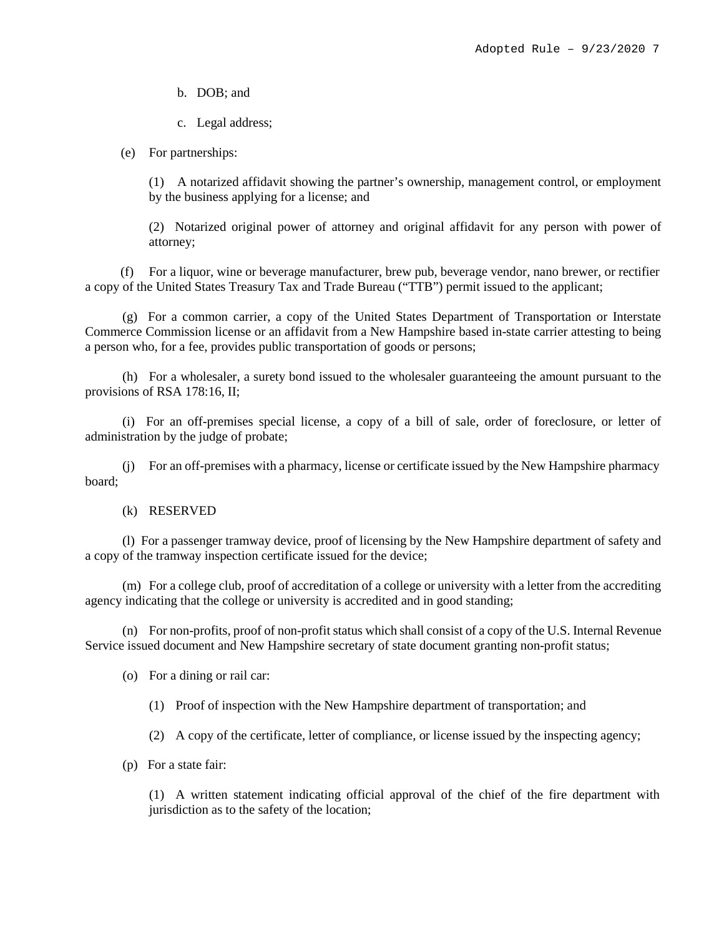b. DOB; and

c. Legal address;

(e) For partnerships:

(1) A notarized affidavit showing the partner's ownership, management control, or employment by the business applying for a license; and

(2) Notarized original power of attorney and original affidavit for any person with power of attorney;

(f) For a liquor, wine or beverage manufacturer, brew pub, beverage vendor, nano brewer, or rectifier a copy of the United States Treasury Tax and Trade Bureau ("TTB") permit issued to the applicant;

(g) For a common carrier, a copy of the United States Department of Transportation or Interstate Commerce Commission license or an affidavit from a New Hampshire based in-state carrier attesting to being a person who, for a fee, provides public transportation of goods or persons;

(h) For a wholesaler, a surety bond issued to the wholesaler guaranteeing the amount pursuant to the provisions of RSA 178:16, II;

(i) For an off-premises special license, a copy of a bill of sale, order of foreclosure, or letter of administration by the judge of probate;

(j) For an off-premises with a pharmacy, license or certificate issued by the New Hampshire pharmacy board;

# (k) RESERVED

(l) For a passenger tramway device, proof of licensing by the New Hampshire department of safety and a copy of the tramway inspection certificate issued for the device;

(m) For a college club, proof of accreditation of a college or university with a letter from the accrediting agency indicating that the college or university is accredited and in good standing;

(n) For non-profits, proof of non-profit status which shall consist of a copy of the U.S. Internal Revenue Service issued document and New Hampshire secretary of state document granting non-profit status;

(o) For a dining or rail car:

(1) Proof of inspection with the New Hampshire department of transportation; and

(2) A copy of the certificate, letter of compliance, or license issued by the inspecting agency;

(p) For a state fair:

(1) A written statement indicating official approval of the chief of the fire department with jurisdiction as to the safety of the location;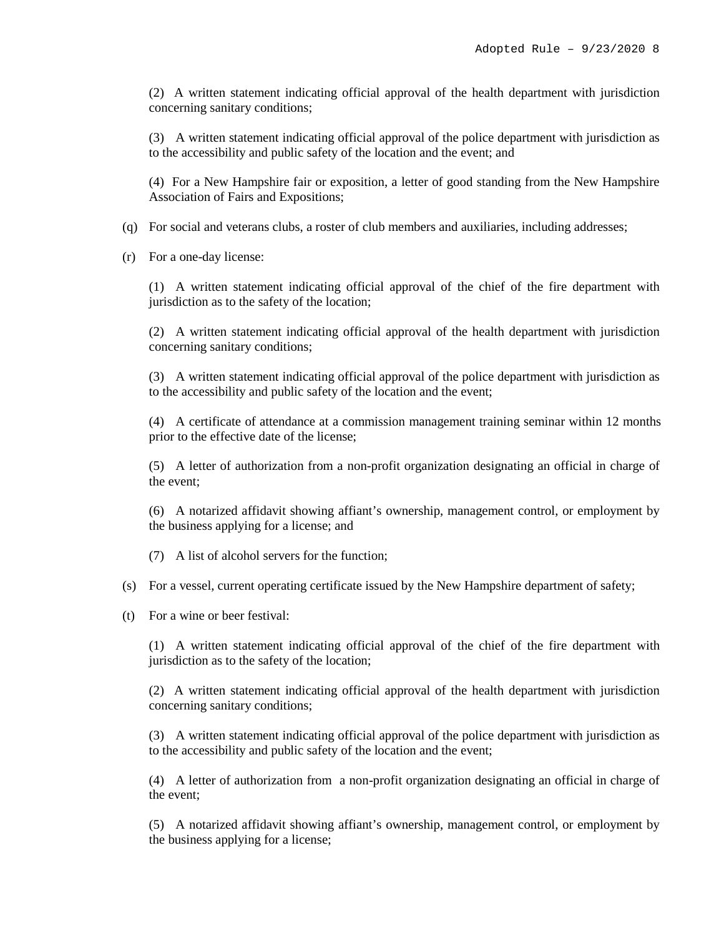(2) A written statement indicating official approval of the health department with jurisdiction concerning sanitary conditions;

(3) A written statement indicating official approval of the police department with jurisdiction as to the accessibility and public safety of the location and the event; and

(4) For a New Hampshire fair or exposition, a letter of good standing from the New Hampshire Association of Fairs and Expositions;

- (q) For social and veterans clubs, a roster of club members and auxiliaries, including addresses;
- (r) For a one-day license:

(1) A written statement indicating official approval of the chief of the fire department with jurisdiction as to the safety of the location;

(2) A written statement indicating official approval of the health department with jurisdiction concerning sanitary conditions;

(3) A written statement indicating official approval of the police department with jurisdiction as to the accessibility and public safety of the location and the event;

(4) A certificate of attendance at a commission management training seminar within 12 months prior to the effective date of the license;

(5) A letter of authorization from a non-profit organization designating an official in charge of the event;

(6) A notarized affidavit showing affiant's ownership, management control, or employment by the business applying for a license; and

(7) A list of alcohol servers for the function;

- (s) For a vessel, current operating certificate issued by the New Hampshire department of safety;
- (t) For a wine or beer festival:

(1) A written statement indicating official approval of the chief of the fire department with jurisdiction as to the safety of the location;

(2) A written statement indicating official approval of the health department with jurisdiction concerning sanitary conditions;

(3) A written statement indicating official approval of the police department with jurisdiction as to the accessibility and public safety of the location and the event;

(4) A letter of authorization from a non-profit organization designating an official in charge of the event;

(5) A notarized affidavit showing affiant's ownership, management control, or employment by the business applying for a license;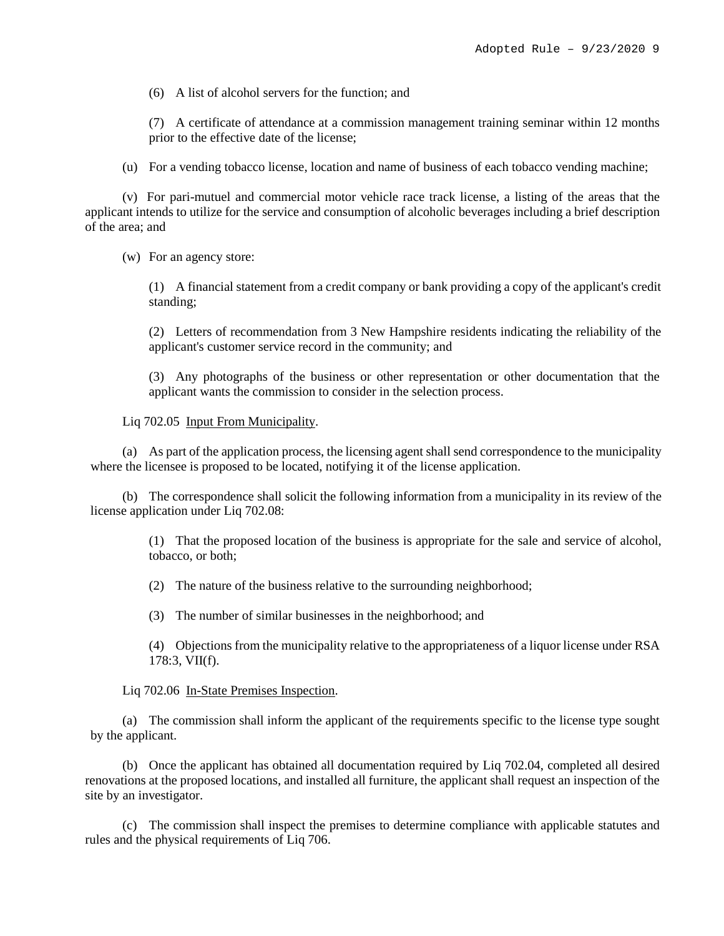(6) A list of alcohol servers for the function; and

(7) A certificate of attendance at a commission management training seminar within 12 months prior to the effective date of the license;

(u) For a vending tobacco license, location and name of business of each tobacco vending machine;

(v) For pari-mutuel and commercial motor vehicle race track license, a listing of the areas that the applicant intends to utilize for the service and consumption of alcoholic beverages including a brief description of the area; and

(w) For an agency store:

(1) A financial statement from a credit company or bank providing a copy of the applicant's credit standing;

(2) Letters of recommendation from 3 New Hampshire residents indicating the reliability of the applicant's customer service record in the community; and

(3) Any photographs of the business or other representation or other documentation that the applicant wants the commission to consider in the selection process.

Liq 702.05 Input From Municipality.

(a) As part of the application process, the licensing agent shall send correspondence to the municipality where the licensee is proposed to be located, notifying it of the license application.

(b) The correspondence shall solicit the following information from a municipality in its review of the license application under Liq 702.08:

> (1) That the proposed location of the business is appropriate for the sale and service of alcohol, tobacco, or both;

(2) The nature of the business relative to the surrounding neighborhood;

(3) The number of similar businesses in the neighborhood; and

(4) Objections from the municipality relative to the appropriateness of a liquor license under RSA 178:3, VII(f).

Liq 702.06 In-State Premises Inspection.

(a) The commission shall inform the applicant of the requirements specific to the license type sought by the applicant.

(b) Once the applicant has obtained all documentation required by Liq 702.04, completed all desired renovations at the proposed locations, and installed all furniture, the applicant shall request an inspection of the site by an investigator.

(c) The commission shall inspect the premises to determine compliance with applicable statutes and rules and the physical requirements of Liq 706.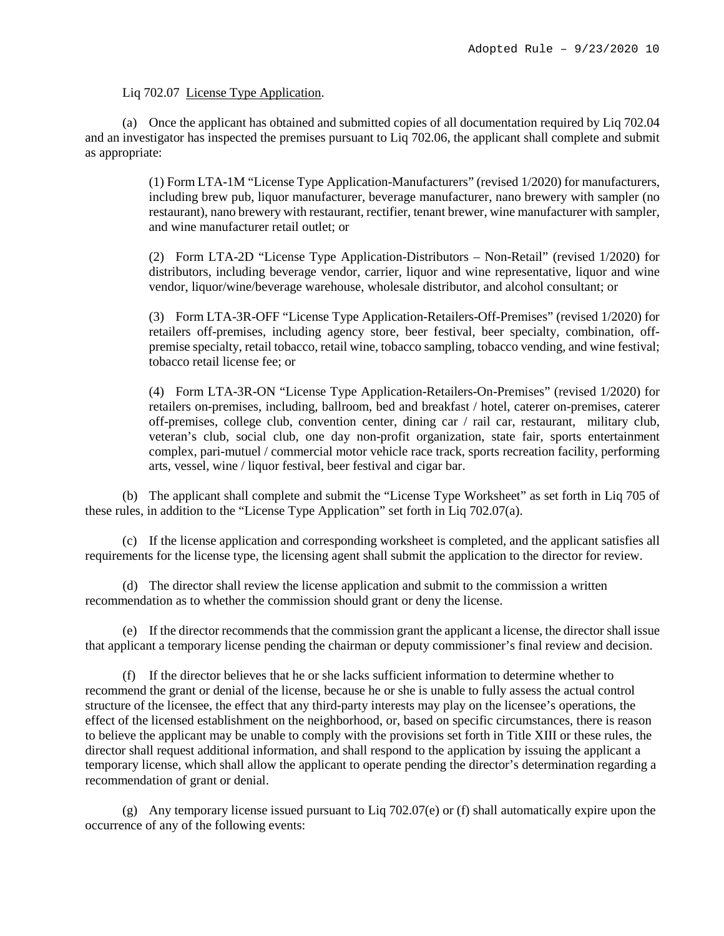# Liq 702.07 License Type Application.

(a) Once the applicant has obtained and submitted copies of all documentation required by Liq 702.04 and an investigator has inspected the premises pursuant to Liq 702.06, the applicant shall complete and submit as appropriate:

> (1) Form LTA-1M "License Type Application-Manufacturers" (revised 1/2020) for manufacturers, including brew pub, liquor manufacturer, beverage manufacturer, nano brewery with sampler (no restaurant), nano brewery with restaurant, rectifier, tenant brewer, wine manufacturer with sampler, and wine manufacturer retail outlet; or

> (2) Form LTA-2D "License Type Application-Distributors – Non-Retail" (revised 1/2020) for distributors, including beverage vendor, carrier, liquor and wine representative, liquor and wine vendor, liquor/wine/beverage warehouse, wholesale distributor, and alcohol consultant; or

> (3) Form LTA-3R-OFF "License Type Application-Retailers-Off-Premises" (revised 1/2020) for retailers off-premises, including agency store, beer festival, beer specialty, combination, offpremise specialty, retail tobacco, retail wine, tobacco sampling, tobacco vending, and wine festival; tobacco retail license fee; or

> (4) Form LTA-3R-ON "License Type Application-Retailers-On-Premises" (revised 1/2020) for retailers on-premises, including, ballroom, bed and breakfast / hotel, caterer on-premises, caterer off-premises, college club, convention center, dining car / rail car, restaurant, military club, veteran's club, social club, one day non-profit organization, state fair, sports entertainment complex, pari-mutuel / commercial motor vehicle race track, sports recreation facility, performing arts, vessel, wine / liquor festival, beer festival and cigar bar.

(b) The applicant shall complete and submit the "License Type Worksheet" as set forth in Liq 705 of these rules, in addition to the "License Type Application" set forth in Liq 702.07(a).

(c) If the license application and corresponding worksheet is completed, and the applicant satisfies all requirements for the license type, the licensing agent shall submit the application to the director for review.

(d) The director shall review the license application and submit to the commission a written recommendation as to whether the commission should grant or deny the license.

(e) If the director recommends that the commission grant the applicant a license, the director shall issue that applicant a temporary license pending the chairman or deputy commissioner's final review and decision.

(f) If the director believes that he or she lacks sufficient information to determine whether to recommend the grant or denial of the license, because he or she is unable to fully assess the actual control structure of the licensee, the effect that any third-party interests may play on the licensee's operations, the effect of the licensed establishment on the neighborhood, or, based on specific circumstances, there is reason to believe the applicant may be unable to comply with the provisions set forth in Title XIII or these rules, the director shall request additional information, and shall respond to the application by issuing the applicant a temporary license, which shall allow the applicant to operate pending the director's determination regarding a recommendation of grant or denial.

(g) Any temporary license issued pursuant to Liq 702.07(e) or (f) shall automatically expire upon the occurrence of any of the following events: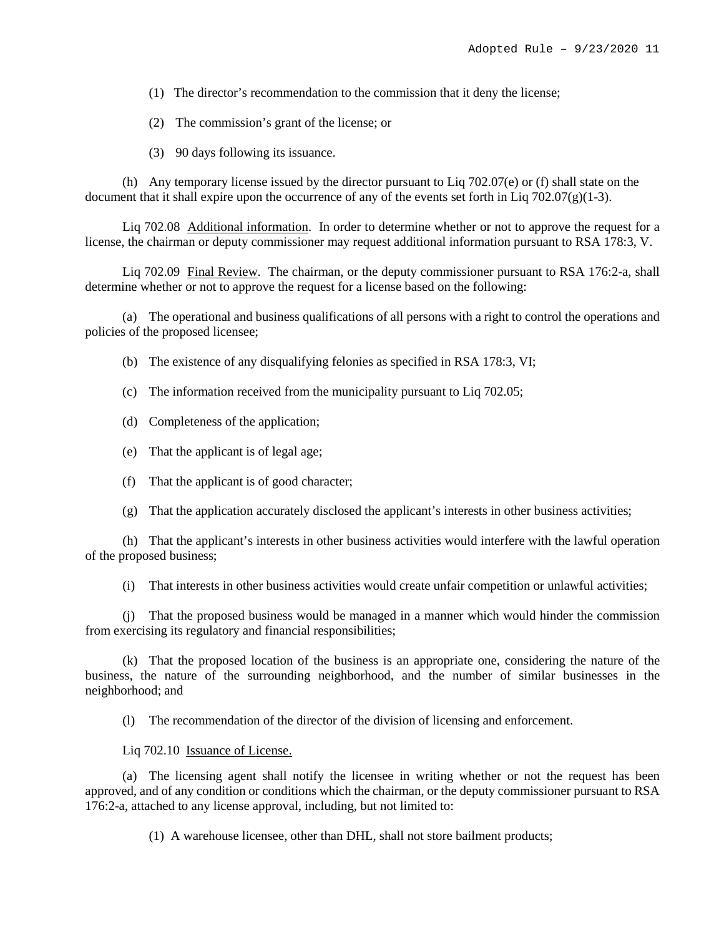(1) The director's recommendation to the commission that it deny the license;

(2) The commission's grant of the license; or

(3) 90 days following its issuance.

(h) Any temporary license issued by the director pursuant to Liq 702.07(e) or (f) shall state on the document that it shall expire upon the occurrence of any of the events set forth in Liq  $702.07(g)(1-3)$ .

Liq 702.08 Additional information. In order to determine whether or not to approve the request for a license, the chairman or deputy commissioner may request additional information pursuant to RSA 178:3, V.

Liq 702.09 Final Review. The chairman, or the deputy commissioner pursuant to RSA 176:2-a, shall determine whether or not to approve the request for a license based on the following:

(a) The operational and business qualifications of all persons with a right to control the operations and policies of the proposed licensee;

(b) The existence of any disqualifying felonies as specified in RSA 178:3, VI;

(c) The information received from the municipality pursuant to Liq 702.05;

(d) Completeness of the application;

(e) That the applicant is of legal age;

(f) That the applicant is of good character;

(g) That the application accurately disclosed the applicant's interests in other business activities;

(h) That the applicant's interests in other business activities would interfere with the lawful operation of the proposed business;

(i) That interests in other business activities would create unfair competition or unlawful activities;

(j) That the proposed business would be managed in a manner which would hinder the commission from exercising its regulatory and financial responsibilities;

(k) That the proposed location of the business is an appropriate one, considering the nature of the business, the nature of the surrounding neighborhood, and the number of similar businesses in the neighborhood; and

(l) The recommendation of the director of the division of licensing and enforcement.

Liq 702.10 Issuance of License.

(a) The licensing agent shall notify the licensee in writing whether or not the request has been approved, and of any condition or conditions which the chairman, or the deputy commissioner pursuant to RSA 176:2-a, attached to any license approval, including, but not limited to:

(1) A warehouse licensee, other than DHL, shall not store bailment products;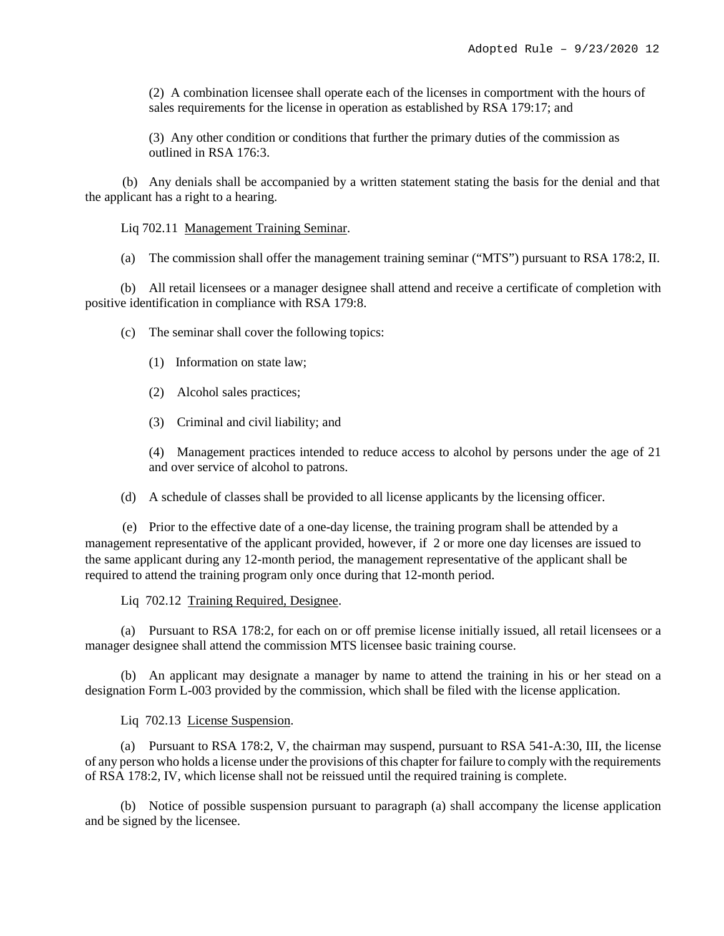(2) A combination licensee shall operate each of the licenses in comportment with the hours of sales requirements for the license in operation as established by RSA 179:17; and

(3) Any other condition or conditions that further the primary duties of the commission as outlined in RSA 176:3.

(b) Any denials shall be accompanied by a written statement stating the basis for the denial and that the applicant has a right to a hearing.

Liq 702.11 Management Training Seminar.

(a) The commission shall offer the management training seminar ("MTS") pursuant to RSA 178:2, II.

(b) All retail licensees or a manager designee shall attend and receive a certificate of completion with positive identification in compliance with RSA 179:8.

(c) The seminar shall cover the following topics:

- (1) Information on state law;
- (2) Alcohol sales practices;
- (3) Criminal and civil liability; and

(4) Management practices intended to reduce access to alcohol by persons under the age of 21 and over service of alcohol to patrons.

(d) A schedule of classes shall be provided to all license applicants by the licensing officer.

(e) Prior to the effective date of a one-day license, the training program shall be attended by a management representative of the applicant provided, however, if 2 or more one day licenses are issued to the same applicant during any 12-month period, the management representative of the applicant shall be required to attend the training program only once during that 12-month period.

Liq 702.12 Training Required, Designee.

(a) Pursuant to RSA 178:2, for each on or off premise license initially issued, all retail licensees or a manager designee shall attend the commission MTS licensee basic training course.

(b) An applicant may designate a manager by name to attend the training in his or her stead on a designation Form L-003 provided by the commission, which shall be filed with the license application.

Liq 702.13 License Suspension.

(a) Pursuant to RSA 178:2, V, the chairman may suspend, pursuant to RSA 541-A:30, III, the license of any person who holds a license under the provisions of this chapter for failure to comply with the requirements of RSA 178:2, IV, which license shall not be reissued until the required training is complete.

(b) Notice of possible suspension pursuant to paragraph (a) shall accompany the license application and be signed by the licensee.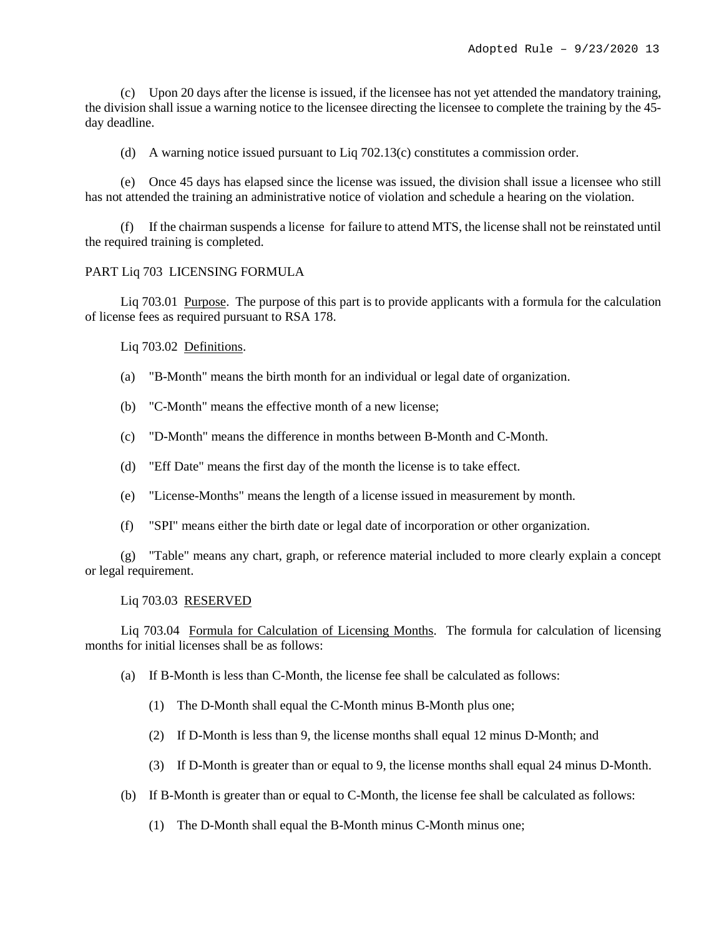(c) Upon 20 days after the license is issued, if the licensee has not yet attended the mandatory training, the division shall issue a warning notice to the licensee directing the licensee to complete the training by the 45 day deadline.

(d) A warning notice issued pursuant to Liq 702.13(c) constitutes a commission order.

(e) Once 45 days has elapsed since the license was issued, the division shall issue a licensee who still has not attended the training an administrative notice of violation and schedule a hearing on the violation.

(f) If the chairman suspends a license for failure to attend MTS, the license shall not be reinstated until the required training is completed.

### PART Liq 703 LICENSING FORMULA

Liq 703.01 Purpose. The purpose of this part is to provide applicants with a formula for the calculation of license fees as required pursuant to RSA 178.

Liq 703.02 Definitions.

- (a) "B-Month" means the birth month for an individual or legal date of organization.
- (b) "C-Month" means the effective month of a new license;
- (c) "D-Month" means the difference in months between B-Month and C-Month.
- (d) "Eff Date" means the first day of the month the license is to take effect.
- (e) "License-Months" means the length of a license issued in measurement by month.
- (f) "SPI" means either the birth date or legal date of incorporation or other organization.

(g) "Table" means any chart, graph, or reference material included to more clearly explain a concept or legal requirement.

#### Liq 703.03 RESERVED

Liq 703.04 Formula for Calculation of Licensing Months. The formula for calculation of licensing months for initial licenses shall be as follows:

- (a) If B-Month is less than C-Month, the license fee shall be calculated as follows:
	- (1) The D-Month shall equal the C-Month minus B-Month plus one;
	- (2) If D-Month is less than 9, the license months shall equal 12 minus D-Month; and
	- (3) If D-Month is greater than or equal to 9, the license months shall equal 24 minus D-Month.
- (b) If B-Month is greater than or equal to C-Month, the license fee shall be calculated as follows:
	- (1) The D-Month shall equal the B-Month minus C-Month minus one;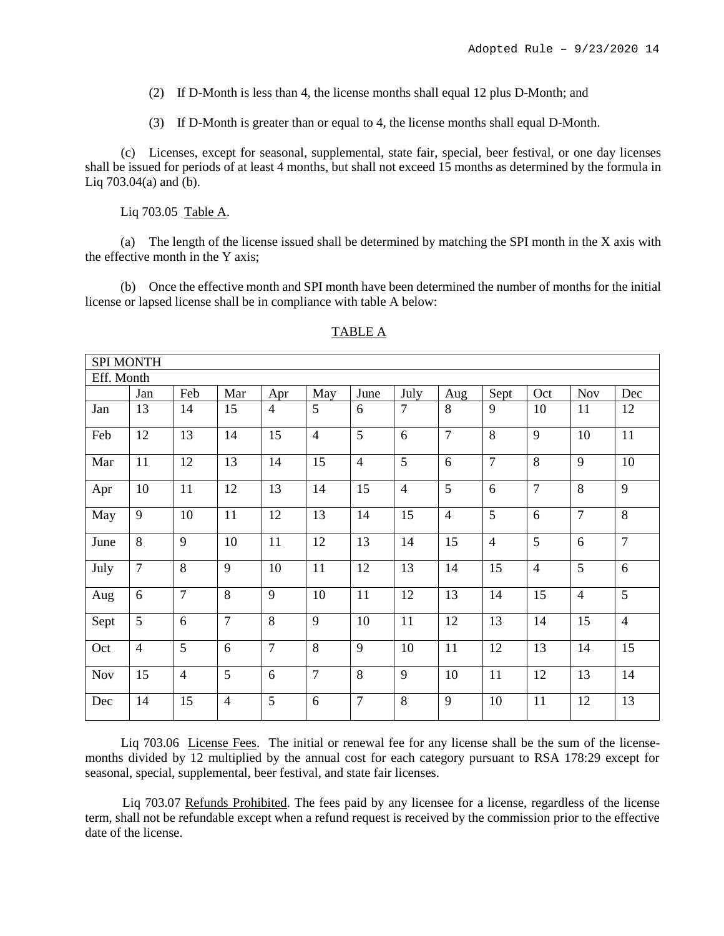(2) If D-Month is less than 4, the license months shall equal 12 plus D-Month; and

(3) If D-Month is greater than or equal to 4, the license months shall equal D-Month.

(c) Licenses, except for seasonal, supplemental, state fair, special, beer festival, or one day licenses shall be issued for periods of at least 4 months, but shall not exceed 15 months as determined by the formula in Liq 703.04(a) and (b).

Liq 703.05 Table A.

(a) The length of the license issued shall be determined by matching the SPI month in the X axis with the effective month in the Y axis;

(b) Once the effective month and SPI month have been determined the number of months for the initial license or lapsed license shall be in compliance with table A below:

|            | <b>SPI MONTH</b> |                |                |                |                |                |                |                |                |                |                |                |
|------------|------------------|----------------|----------------|----------------|----------------|----------------|----------------|----------------|----------------|----------------|----------------|----------------|
| Eff. Month |                  |                |                |                |                |                |                |                |                |                |                |                |
|            | Jan              | Feb            | Mar            | Apr            | May            | June           | July           | Aug            | Sept           | Oct            | <b>Nov</b>     | Dec            |
| Jan        | 13               | 14             | 15             | $\overline{4}$ | 5              | 6              | $\overline{7}$ | 8              | 9              | 10             | 11             | 12             |
| Feb        | 12               | 13             | 14             | 15             | $\overline{4}$ | 5              | 6              | $\overline{7}$ | 8              | 9              | 10             | 11             |
| Mar        | 11               | 12             | 13             | 14             | 15             | $\overline{4}$ | $\overline{5}$ | 6              | $\overline{7}$ | 8              | 9              | 10             |
| Apr        | 10               | 11             | 12             | 13             | 14             | 15             | $\overline{4}$ | $\overline{5}$ | 6              | $\overline{7}$ | 8              | 9              |
| May        | 9                | 10             | 11             | 12             | 13             | 14             | 15             | $\overline{4}$ | 5              | 6              | $\overline{7}$ | 8              |
| June       | 8                | 9              | 10             | 11             | 12             | 13             | 14             | 15             | $\overline{4}$ | $\overline{5}$ | 6              | $\overline{7}$ |
| July       | $\overline{7}$   | 8              | 9              | 10             | 11             | 12             | 13             | 14             | 15             | $\overline{4}$ | 5              | 6              |
| Aug        | 6                | $\overline{7}$ | $\overline{8}$ | 9              | 10             | 11             | 12             | 13             | 14             | 15             | $\overline{4}$ | $\overline{5}$ |
| Sept       | 5                | 6              | $\overline{7}$ | 8              | 9              | 10             | 11             | 12             | 13             | 14             | 15             | $\overline{4}$ |
| Oct        | $\overline{4}$   | 5              | 6              | $\overline{7}$ | 8              | 9              | 10             | 11             | 12             | 13             | 14             | 15             |
| <b>Nov</b> | 15               | $\overline{4}$ | 5              | 6              | $\overline{7}$ | 8              | 9              | 10             | 11             | 12             | 13             | 14             |
| Dec        | 14               | 15             | $\overline{4}$ | 5              | 6              | $\overline{7}$ | 8              | 9              | 10             | 11             | 12             | 13             |

# TABLE A

Liq 703.06 License Fees. The initial or renewal fee for any license shall be the sum of the licensemonths divided by 12 multiplied by the annual cost for each category pursuant to RSA 178:29 except for seasonal, special, supplemental, beer festival, and state fair licenses.

Liq 703.07 Refunds Prohibited. The fees paid by any licensee for a license, regardless of the license term, shall not be refundable except when a refund request is received by the commission prior to the effective date of the license.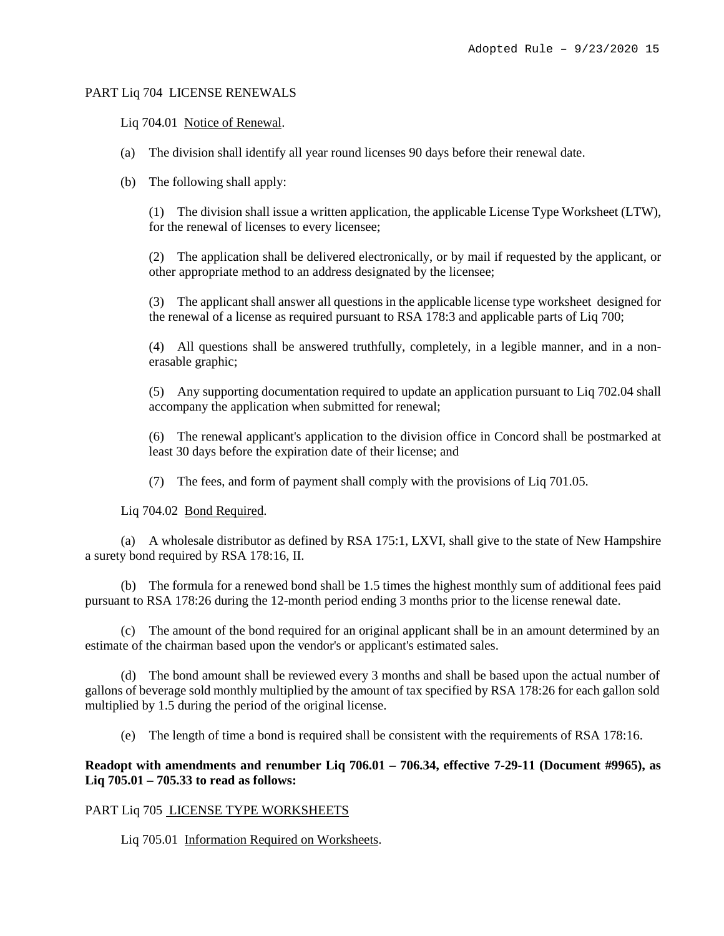### PART Liq 704 LICENSE RENEWALS

### Liq 704.01 Notice of Renewal.

- (a) The division shall identify all year round licenses 90 days before their renewal date.
- (b) The following shall apply:

(1) The division shall issue a written application, the applicable License Type Worksheet (LTW), for the renewal of licenses to every licensee;

(2) The application shall be delivered electronically, or by mail if requested by the applicant, or other appropriate method to an address designated by the licensee;

(3) The applicant shall answer all questions in the applicable license type worksheet designed for the renewal of a license as required pursuant to RSA 178:3 and applicable parts of Liq 700;

(4) All questions shall be answered truthfully, completely, in a legible manner, and in a nonerasable graphic;

(5) Any supporting documentation required to update an application pursuant to Liq 702.04 shall accompany the application when submitted for renewal;

(6) The renewal applicant's application to the division office in Concord shall be postmarked at least 30 days before the expiration date of their license; and

(7) The fees, and form of payment shall comply with the provisions of Liq 701.05.

Liq 704.02 Bond Required.

(a) A wholesale distributor as defined by RSA 175:1, LXVI, shall give to the state of New Hampshire a surety bond required by RSA 178:16, II.

(b) The formula for a renewed bond shall be 1.5 times the highest monthly sum of additional fees paid pursuant to RSA 178:26 during the 12-month period ending 3 months prior to the license renewal date.

(c) The amount of the bond required for an original applicant shall be in an amount determined by an estimate of the chairman based upon the vendor's or applicant's estimated sales.

(d) The bond amount shall be reviewed every 3 months and shall be based upon the actual number of gallons of beverage sold monthly multiplied by the amount of tax specified by RSA 178:26 for each gallon sold multiplied by 1.5 during the period of the original license.

(e) The length of time a bond is required shall be consistent with the requirements of RSA 178:16.

**Readopt with amendments and renumber Liq 706.01 – 706.34, effective 7-29-11 (Document #9965), as Liq 705.01 – 705.33 to read as follows:**

### PART Liq 705 LICENSE TYPE WORKSHEETS

Liq 705.01 Information Required on Worksheets.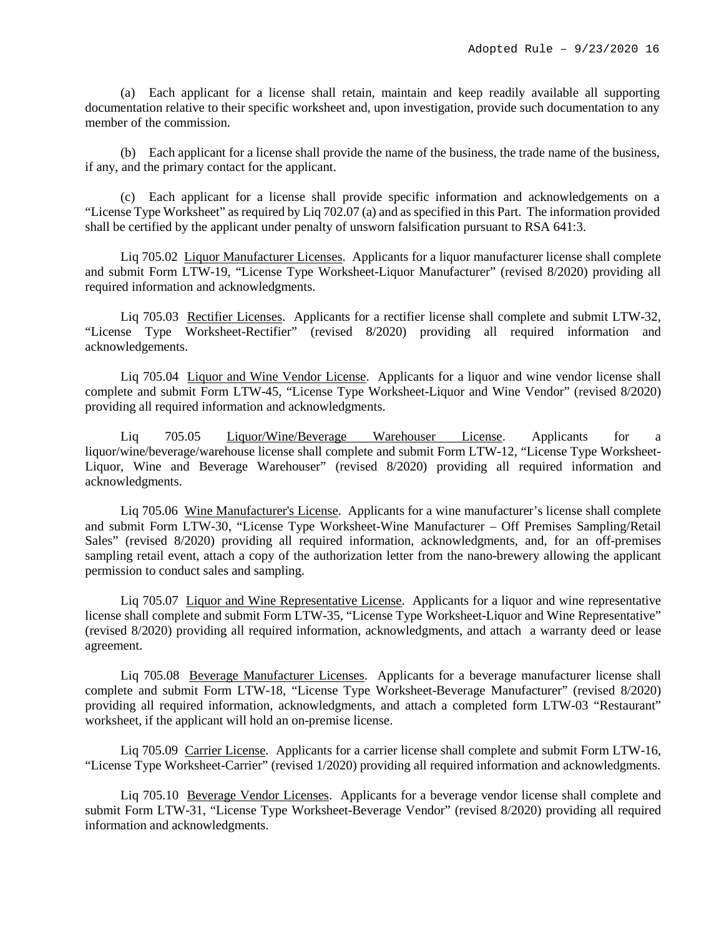(a) Each applicant for a license shall retain, maintain and keep readily available all supporting documentation relative to their specific worksheet and, upon investigation, provide such documentation to any member of the commission.

(b) Each applicant for a license shall provide the name of the business, the trade name of the business, if any, and the primary contact for the applicant.

(c) Each applicant for a license shall provide specific information and acknowledgements on a "License Type Worksheet" as required by Liq 702.07 (a) and as specified in this Part. The information provided shall be certified by the applicant under penalty of unsworn falsification pursuant to RSA 641:3.

Liq 705.02 Liquor Manufacturer Licenses. Applicants for a liquor manufacturer license shall complete and submit Form LTW-19, "License Type Worksheet-Liquor Manufacturer" (revised 8/2020) providing all required information and acknowledgments.

Liq 705.03 Rectifier Licenses. Applicants for a rectifier license shall complete and submit LTW-32, "License Type Worksheet-Rectifier" (revised 8/2020) providing all required information and acknowledgements.

Liq 705.04 Liquor and Wine Vendor License. Applicants for a liquor and wine vendor license shall complete and submit Form LTW-45, "License Type Worksheet-Liquor and Wine Vendor" (revised 8/2020) providing all required information and acknowledgments.

Liq 705.05 Liquor/Wine/Beverage Warehouser License. Applicants for a liquor/wine/beverage/warehouse license shall complete and submit Form LTW-12, "License Type Worksheet-Liquor, Wine and Beverage Warehouser" (revised 8/2020) providing all required information and acknowledgments.

Liq 705.06 Wine Manufacturer's License. Applicants for a wine manufacturer's license shall complete and submit Form LTW-30, "License Type Worksheet-Wine Manufacturer – Off Premises Sampling/Retail Sales" (revised 8/2020) providing all required information, acknowledgments, and, for an off-premises sampling retail event, attach a copy of the authorization letter from the nano-brewery allowing the applicant permission to conduct sales and sampling.

Liq 705.07 Liquor and Wine Representative License. Applicants for a liquor and wine representative license shall complete and submit Form LTW-35, "License Type Worksheet-Liquor and Wine Representative" (revised 8/2020) providing all required information, acknowledgments, and attach a warranty deed or lease agreement.

Liq 705.08 Beverage Manufacturer Licenses. Applicants for a beverage manufacturer license shall complete and submit Form LTW-18, "License Type Worksheet-Beverage Manufacturer" (revised 8/2020) providing all required information, acknowledgments, and attach a completed form LTW-03 "Restaurant" worksheet, if the applicant will hold an on-premise license.

Liq 705.09 Carrier License. Applicants for a carrier license shall complete and submit Form LTW-16, "License Type Worksheet-Carrier" (revised 1/2020) providing all required information and acknowledgments.

Liq 705.10 Beverage Vendor Licenses. Applicants for a beverage vendor license shall complete and submit Form LTW-31, "License Type Worksheet-Beverage Vendor" (revised 8/2020) providing all required information and acknowledgments.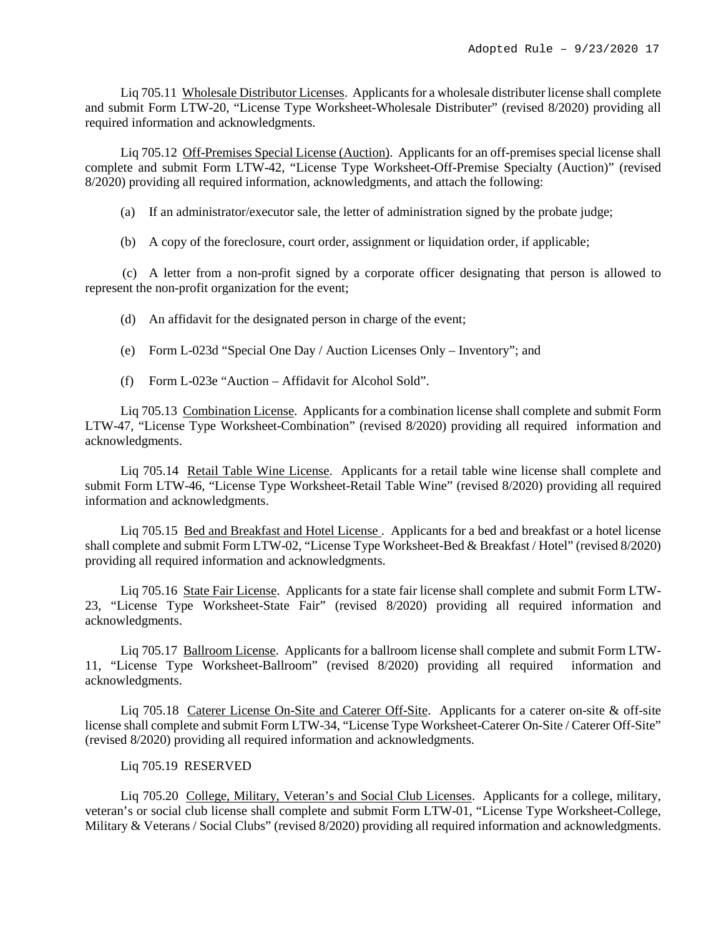Liq 705.11 Wholesale Distributor Licenses. Applicants for a wholesale distributer license shall complete and submit Form LTW-20, "License Type Worksheet-Wholesale Distributer" (revised 8/2020) providing all required information and acknowledgments.

Liq 705.12 Off-Premises Special License (Auction). Applicants for an off-premises special license shall complete and submit Form LTW-42, "License Type Worksheet-Off-Premise Specialty (Auction)" (revised 8/2020) providing all required information, acknowledgments, and attach the following:

(a) If an administrator/executor sale, the letter of administration signed by the probate judge;

(b) A copy of the foreclosure, court order, assignment or liquidation order, if applicable;

(c) A letter from a non-profit signed by a corporate officer designating that person is allowed to represent the non-profit organization for the event;

(d) An affidavit for the designated person in charge of the event;

- (e) Form L-023d "Special One Day / Auction Licenses Only Inventory"; and
- (f) Form L-023e "Auction Affidavit for Alcohol Sold".

Liq 705.13 Combination License. Applicants for a combination license shall complete and submit Form LTW-47, "License Type Worksheet-Combination" (revised 8/2020) providing all required information and acknowledgments.

Liq 705.14 Retail Table Wine License. Applicants for a retail table wine license shall complete and submit Form LTW-46, "License Type Worksheet-Retail Table Wine" (revised 8/2020) providing all required information and acknowledgments.

Liq 705.15 Bed and Breakfast and Hotel License. Applicants for a bed and breakfast or a hotel license shall complete and submit Form LTW-02, "License Type Worksheet-Bed & Breakfast / Hotel" (revised 8/2020) providing all required information and acknowledgments.

Liq 705.16 State Fair License. Applicants for a state fair license shall complete and submit Form LTW-23, "License Type Worksheet-State Fair" (revised 8/2020) providing all required information and acknowledgments.

Liq 705.17 Ballroom License. Applicants for a ballroom license shall complete and submit Form LTW-11, "License Type Worksheet-Ballroom" (revised 8/2020) providing all required information and acknowledgments.

Liq 705.18 Caterer License On-Site and Caterer Off-Site. Applicants for a caterer on-site & off-site license shall complete and submit Form LTW-34, "License Type Worksheet-Caterer On-Site / Caterer Off-Site" (revised 8/2020) providing all required information and acknowledgments.

### Liq 705.19 RESERVED

Liq 705.20 College, Military, Veteran's and Social Club Licenses. Applicants for a college, military, veteran's or social club license shall complete and submit Form LTW-01, "License Type Worksheet-College, Military & Veterans / Social Clubs" (revised 8/2020) providing all required information and acknowledgments.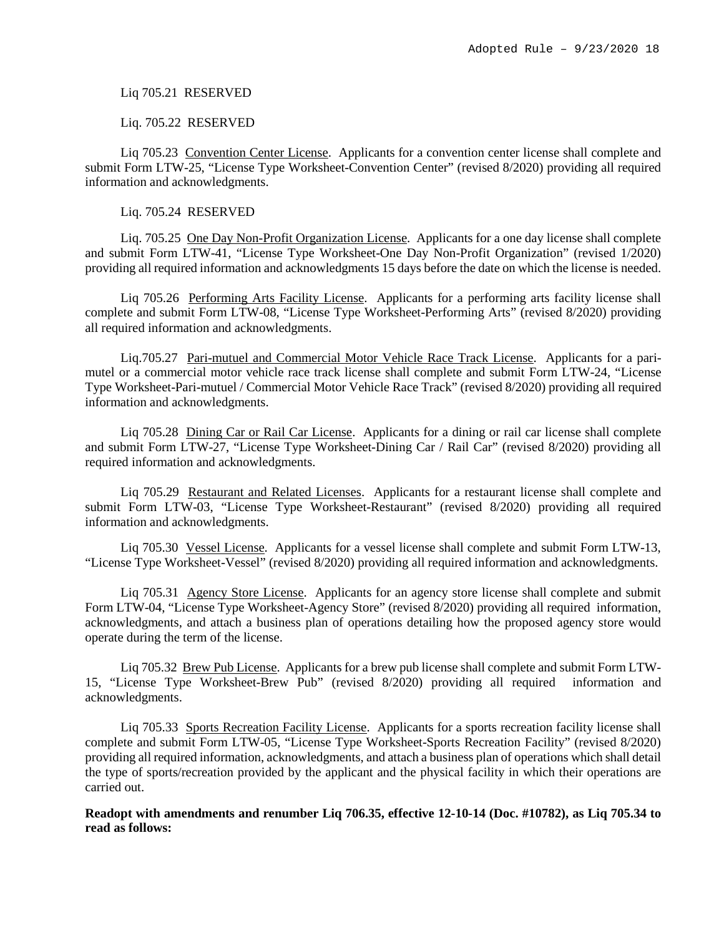Liq 705.21 RESERVED

Liq. 705.22 RESERVED

Liq 705.23 Convention Center License. Applicants for a convention center license shall complete and submit Form LTW-25, "License Type Worksheet-Convention Center" (revised 8/2020) providing all required information and acknowledgments.

Liq. 705.24 RESERVED

Liq. 705.25 One Day Non-Profit Organization License. Applicants for a one day license shall complete and submit Form LTW-41, "License Type Worksheet-One Day Non-Profit Organization" (revised 1/2020) providing all required information and acknowledgments 15 days before the date on which the license is needed.

Liq 705.26 Performing Arts Facility License. Applicants for a performing arts facility license shall complete and submit Form LTW-08, "License Type Worksheet-Performing Arts" (revised 8/2020) providing all required information and acknowledgments.

Liq.705.27 Pari-mutuel and Commercial Motor Vehicle Race Track License. Applicants for a parimutel or a commercial motor vehicle race track license shall complete and submit Form LTW-24, "License Type Worksheet-Pari-mutuel / Commercial Motor Vehicle Race Track" (revised 8/2020) providing all required information and acknowledgments.

Liq 705.28 Dining Car or Rail Car License. Applicants for a dining or rail car license shall complete and submit Form LTW-27, "License Type Worksheet-Dining Car / Rail Car" (revised 8/2020) providing all required information and acknowledgments.

Liq 705.29 Restaurant and Related Licenses. Applicants for a restaurant license shall complete and submit Form LTW-03, "License Type Worksheet-Restaurant" (revised 8/2020) providing all required information and acknowledgments.

Liq 705.30 Vessel License. Applicants for a vessel license shall complete and submit Form LTW-13, "License Type Worksheet-Vessel" (revised 8/2020) providing all required information and acknowledgments.

Liq 705.31 Agency Store License. Applicants for an agency store license shall complete and submit Form LTW-04, "License Type Worksheet-Agency Store" (revised 8/2020) providing all required information, acknowledgments, and attach a business plan of operations detailing how the proposed agency store would operate during the term of the license.

Liq 705.32 Brew Pub License. Applicants for a brew pub license shall complete and submit Form LTW-15, "License Type Worksheet-Brew Pub" (revised 8/2020) providing all required information and acknowledgments.

Liq 705.33 Sports Recreation Facility License. Applicants for a sports recreation facility license shall complete and submit Form LTW-05, "License Type Worksheet-Sports Recreation Facility" (revised 8/2020) providing all required information, acknowledgments, and attach a business plan of operations which shall detail the type of sports/recreation provided by the applicant and the physical facility in which their operations are carried out.

**Readopt with amendments and renumber Liq 706.35, effective 12-10-14 (Doc. #10782), as Liq 705.34 to read as follows:**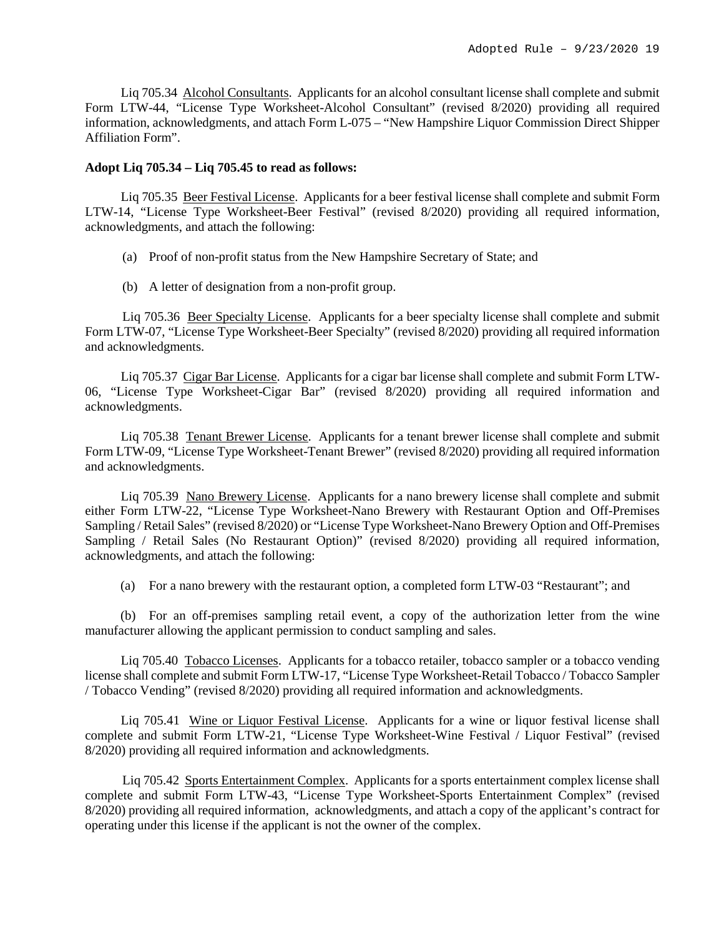Liq 705.34 Alcohol Consultants. Applicants for an alcohol consultant license shall complete and submit Form LTW-44, "License Type Worksheet-Alcohol Consultant" (revised 8/2020) providing all required information, acknowledgments, and attach Form L-075 – "New Hampshire Liquor Commission Direct Shipper Affiliation Form".

#### **Adopt Liq 705.34 – Liq 705.45 to read as follows:**

Liq 705.35 Beer Festival License. Applicants for a beer festival license shall complete and submit Form LTW-14, "License Type Worksheet-Beer Festival" (revised 8/2020) providing all required information, acknowledgments, and attach the following:

- (a) Proof of non-profit status from the New Hampshire Secretary of State; and
- (b) A letter of designation from a non-profit group.

Liq 705.36 <u>Beer Specialty License</u>. Applicants for a beer specialty license shall complete and submit Form LTW-07, "License Type Worksheet-Beer Specialty" (revised 8/2020) providing all required information and acknowledgments.

Liq 705.37 Cigar Bar License. Applicants for a cigar bar license shall complete and submit Form LTW-06, "License Type Worksheet-Cigar Bar" (revised 8/2020) providing all required information and acknowledgments.

Liq 705.38 Tenant Brewer License. Applicants for a tenant brewer license shall complete and submit Form LTW-09, "License Type Worksheet-Tenant Brewer" (revised 8/2020) providing all required information and acknowledgments.

Liq 705.39 Nano Brewery License. Applicants for a nano brewery license shall complete and submit either Form LTW-22, "License Type Worksheet-Nano Brewery with Restaurant Option and Off-Premises Sampling / Retail Sales" (revised 8/2020) or "License Type Worksheet-Nano Brewery Option and Off-Premises Sampling / Retail Sales (No Restaurant Option)" (revised 8/2020) providing all required information, acknowledgments, and attach the following:

(a) For a nano brewery with the restaurant option, a completed form LTW-03 "Restaurant"; and

(b) For an off-premises sampling retail event, a copy of the authorization letter from the wine manufacturer allowing the applicant permission to conduct sampling and sales.

Liq 705.40 Tobacco Licenses. Applicants for a tobacco retailer, tobacco sampler or a tobacco vending license shall complete and submit Form LTW-17, "License Type Worksheet-Retail Tobacco / Tobacco Sampler / Tobacco Vending" (revised 8/2020) providing all required information and acknowledgments.

Liq 705.41 Wine or Liquor Festival License. Applicants for a wine or liquor festival license shall complete and submit Form LTW-21, "License Type Worksheet-Wine Festival / Liquor Festival" (revised 8/2020) providing all required information and acknowledgments.

Liq 705.42 Sports Entertainment Complex. Applicants for a sports entertainment complex license shall complete and submit Form LTW-43, "License Type Worksheet-Sports Entertainment Complex" (revised 8/2020) providing all required information, acknowledgments, and attach a copy of the applicant's contract for operating under this license if the applicant is not the owner of the complex.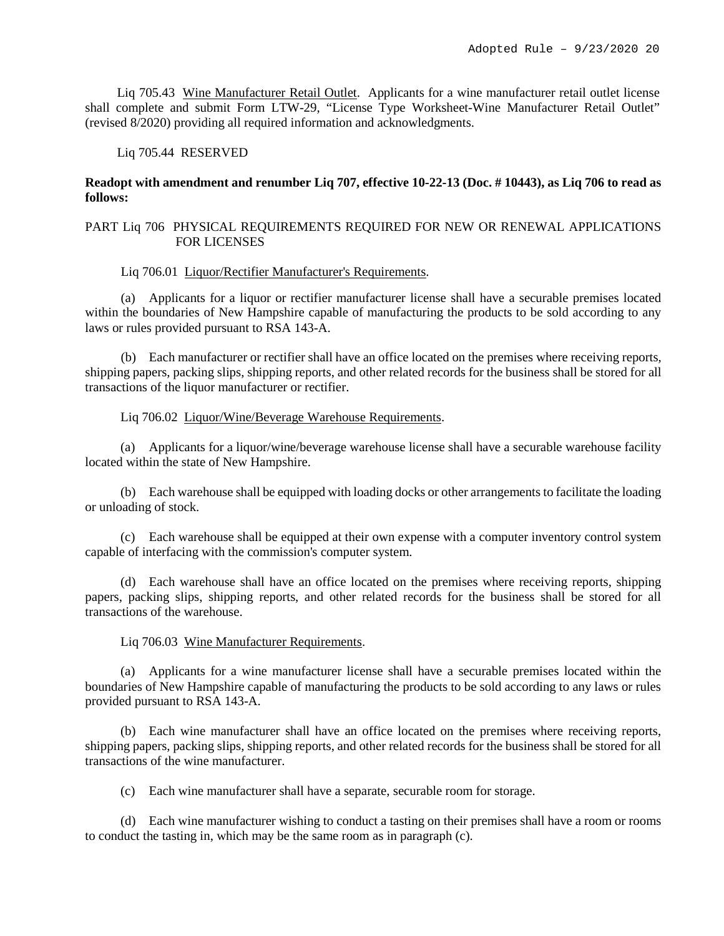Liq 705.43 Wine Manufacturer Retail Outlet. Applicants for a wine manufacturer retail outlet license shall complete and submit Form LTW-29, "License Type Worksheet-Wine Manufacturer Retail Outlet" (revised 8/2020) providing all required information and acknowledgments.

Liq 705.44 RESERVED

# **Readopt with amendment and renumber Liq 707, effective 10-22-13 (Doc. # 10443), as Liq 706 to read as follows:**

# PART Liq 706 PHYSICAL REQUIREMENTS REQUIRED FOR NEW OR RENEWAL APPLICATIONS FOR LICENSES

Liq 706.01 Liquor/Rectifier Manufacturer's Requirements.

(a) Applicants for a liquor or rectifier manufacturer license shall have a securable premises located within the boundaries of New Hampshire capable of manufacturing the products to be sold according to any laws or rules provided pursuant to RSA 143-A.

(b) Each manufacturer or rectifier shall have an office located on the premises where receiving reports, shipping papers, packing slips, shipping reports, and other related records for the business shall be stored for all transactions of the liquor manufacturer or rectifier.

Liq 706.02 Liquor/Wine/Beverage Warehouse Requirements.

(a) Applicants for a liquor/wine/beverage warehouse license shall have a securable warehouse facility located within the state of New Hampshire.

(b) Each warehouse shall be equipped with loading docks or other arrangements to facilitate the loading or unloading of stock.

(c) Each warehouse shall be equipped at their own expense with a computer inventory control system capable of interfacing with the commission's computer system.

(d) Each warehouse shall have an office located on the premises where receiving reports, shipping papers, packing slips, shipping reports, and other related records for the business shall be stored for all transactions of the warehouse.

### Liq 706.03 Wine Manufacturer Requirements.

(a) Applicants for a wine manufacturer license shall have a securable premises located within the boundaries of New Hampshire capable of manufacturing the products to be sold according to any laws or rules provided pursuant to RSA 143-A.

(b) Each wine manufacturer shall have an office located on the premises where receiving reports, shipping papers, packing slips, shipping reports, and other related records for the business shall be stored for all transactions of the wine manufacturer.

(c) Each wine manufacturer shall have a separate, securable room for storage.

(d) Each wine manufacturer wishing to conduct a tasting on their premises shall have a room or rooms to conduct the tasting in, which may be the same room as in paragraph (c).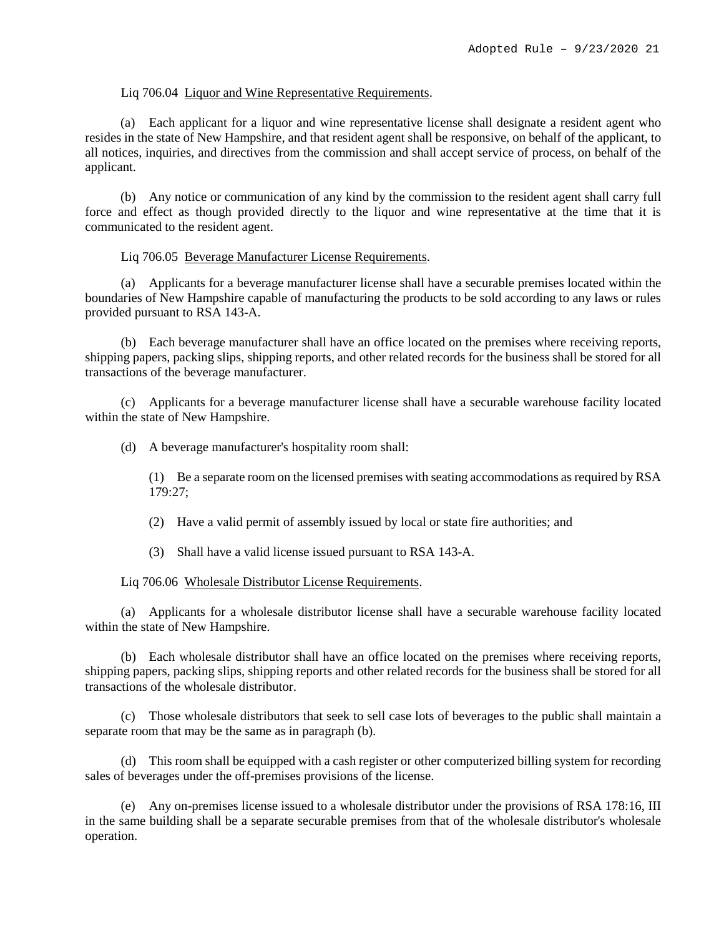#### Liq 706.04 Liquor and Wine Representative Requirements.

(a) Each applicant for a liquor and wine representative license shall designate a resident agent who resides in the state of New Hampshire, and that resident agent shall be responsive, on behalf of the applicant, to all notices, inquiries, and directives from the commission and shall accept service of process, on behalf of the applicant.

(b) Any notice or communication of any kind by the commission to the resident agent shall carry full force and effect as though provided directly to the liquor and wine representative at the time that it is communicated to the resident agent.

#### Liq 706.05 Beverage Manufacturer License Requirements.

(a) Applicants for a beverage manufacturer license shall have a securable premises located within the boundaries of New Hampshire capable of manufacturing the products to be sold according to any laws or rules provided pursuant to RSA 143-A.

(b) Each beverage manufacturer shall have an office located on the premises where receiving reports, shipping papers, packing slips, shipping reports, and other related records for the business shall be stored for all transactions of the beverage manufacturer.

(c) Applicants for a beverage manufacturer license shall have a securable warehouse facility located within the state of New Hampshire.

(d) A beverage manufacturer's hospitality room shall:

(1) Be a separate room on the licensed premises with seating accommodations as required by RSA 179:27;

(2) Have a valid permit of assembly issued by local or state fire authorities; and

(3) Shall have a valid license issued pursuant to RSA 143-A.

Liq 706.06 Wholesale Distributor License Requirements.

(a) Applicants for a wholesale distributor license shall have a securable warehouse facility located within the state of New Hampshire.

(b) Each wholesale distributor shall have an office located on the premises where receiving reports, shipping papers, packing slips, shipping reports and other related records for the business shall be stored for all transactions of the wholesale distributor.

(c) Those wholesale distributors that seek to sell case lots of beverages to the public shall maintain a separate room that may be the same as in paragraph (b).

(d) This room shall be equipped with a cash register or other computerized billing system for recording sales of beverages under the off-premises provisions of the license.

(e) Any on-premises license issued to a wholesale distributor under the provisions of RSA 178:16, III in the same building shall be a separate securable premises from that of the wholesale distributor's wholesale operation.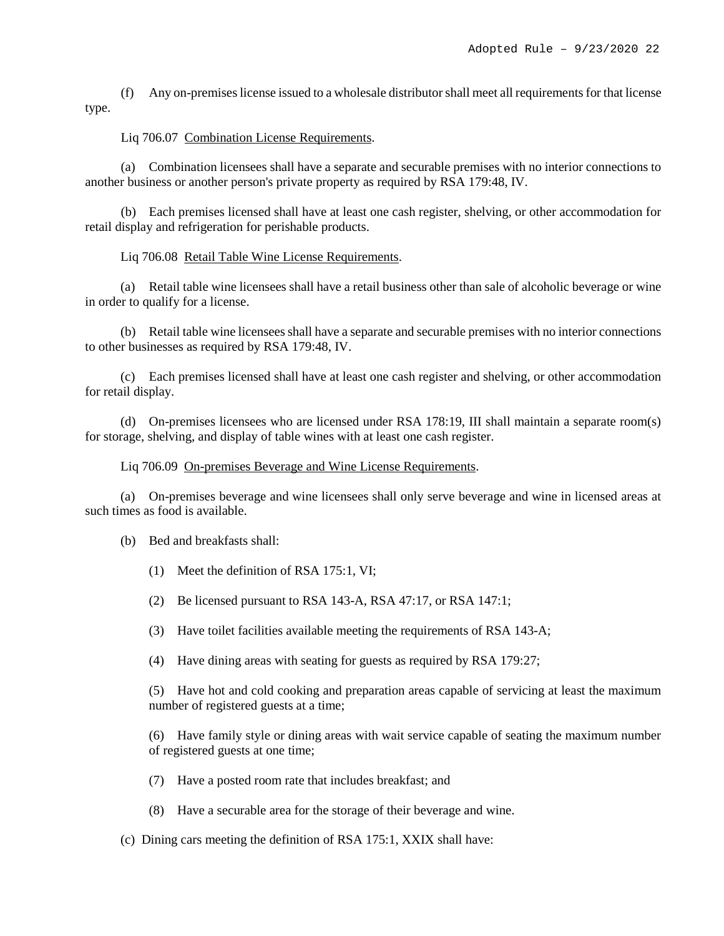(f) Any on-premiseslicense issued to a wholesale distributor shall meet all requirements for that license type.

# Liq 706.07 Combination License Requirements.

(a) Combination licensees shall have a separate and securable premises with no interior connections to another business or another person's private property as required by RSA 179:48, IV.

(b) Each premises licensed shall have at least one cash register, shelving, or other accommodation for retail display and refrigeration for perishable products.

## Liq 706.08 Retail Table Wine License Requirements.

(a) Retail table wine licensees shall have a retail business other than sale of alcoholic beverage or wine in order to qualify for a license.

(b) Retail table wine licensees shall have a separate and securable premises with no interior connections to other businesses as required by RSA 179:48, IV.

(c) Each premises licensed shall have at least one cash register and shelving, or other accommodation for retail display.

(d) On-premises licensees who are licensed under RSA 178:19, III shall maintain a separate room(s) for storage, shelving, and display of table wines with at least one cash register.

Liq 706.09 On-premises Beverage and Wine License Requirements.

(a) On-premises beverage and wine licensees shall only serve beverage and wine in licensed areas at such times as food is available.

- (b) Bed and breakfasts shall:
	- (1) Meet the definition of RSA 175:1, VI;
	- (2) Be licensed pursuant to RSA 143-A, RSA 47:17, or RSA 147:1;
	- (3) Have toilet facilities available meeting the requirements of RSA 143-A;
	- (4) Have dining areas with seating for guests as required by RSA 179:27;

(5) Have hot and cold cooking and preparation areas capable of servicing at least the maximum number of registered guests at a time;

(6) Have family style or dining areas with wait service capable of seating the maximum number of registered guests at one time;

- (7) Have a posted room rate that includes breakfast; and
- (8) Have a securable area for the storage of their beverage and wine.
- (c) Dining cars meeting the definition of RSA 175:1, XXIX shall have: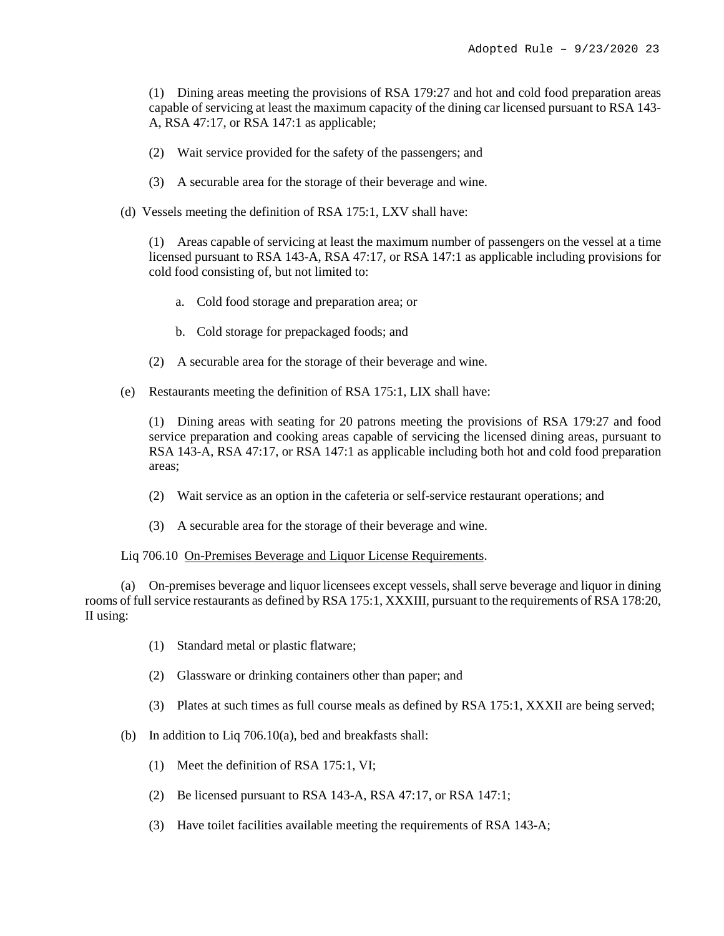(1) Dining areas meeting the provisions of RSA 179:27 and hot and cold food preparation areas capable of servicing at least the maximum capacity of the dining car licensed pursuant to RSA 143- A, RSA 47:17, or RSA 147:1 as applicable;

- (2) Wait service provided for the safety of the passengers; and
- (3) A securable area for the storage of their beverage and wine.
- (d) Vessels meeting the definition of RSA 175:1, LXV shall have:

(1) Areas capable of servicing at least the maximum number of passengers on the vessel at a time licensed pursuant to RSA 143-A, RSA 47:17, or RSA 147:1 as applicable including provisions for cold food consisting of, but not limited to:

- a. Cold food storage and preparation area; or
- b. Cold storage for prepackaged foods; and
- (2) A securable area for the storage of their beverage and wine.
- (e) Restaurants meeting the definition of RSA 175:1, LIX shall have:

(1) Dining areas with seating for 20 patrons meeting the provisions of RSA 179:27 and food service preparation and cooking areas capable of servicing the licensed dining areas, pursuant to RSA 143-A, RSA 47:17, or RSA 147:1 as applicable including both hot and cold food preparation areas;

- (2) Wait service as an option in the cafeteria or self-service restaurant operations; and
- (3) A securable area for the storage of their beverage and wine.

# Liq 706.10 On-Premises Beverage and Liquor License Requirements.

(a) On-premises beverage and liquor licensees except vessels, shall serve beverage and liquor in dining rooms of full service restaurants as defined by RSA 175:1, XXXIII, pursuant to the requirements of RSA 178:20, II using:

- (1) Standard metal or plastic flatware;
- (2) Glassware or drinking containers other than paper; and
- (3) Plates at such times as full course meals as defined by RSA 175:1, XXXII are being served;
- (b) In addition to Liq 706.10(a), bed and breakfasts shall:
	- (1) Meet the definition of RSA 175:1, VI;
	- (2) Be licensed pursuant to RSA 143-A, RSA 47:17, or RSA 147:1;
	- (3) Have toilet facilities available meeting the requirements of RSA 143-A;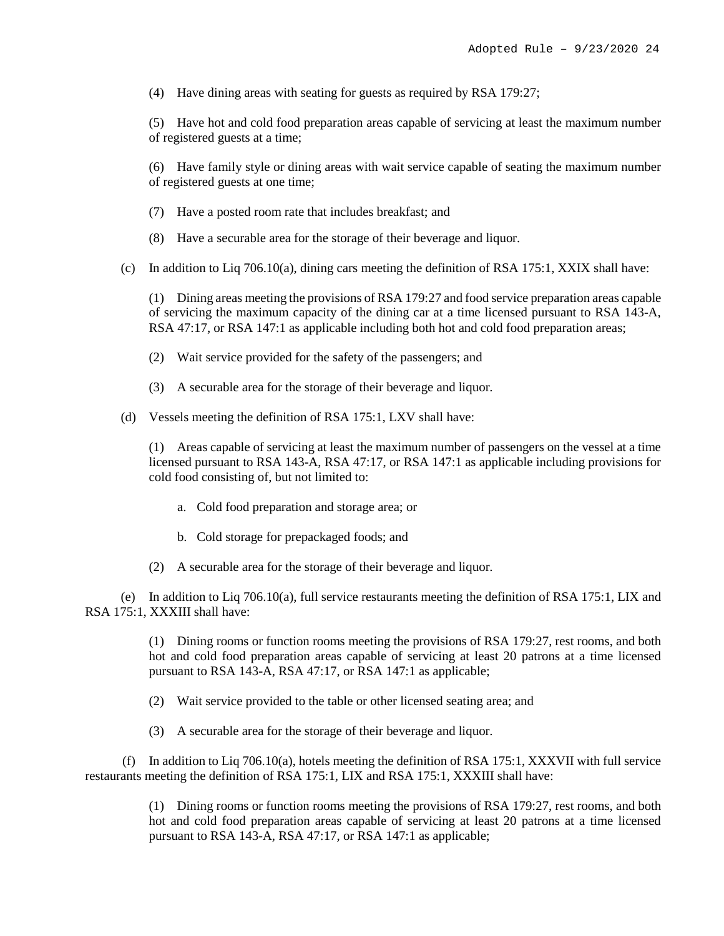(4) Have dining areas with seating for guests as required by RSA 179:27;

(5) Have hot and cold food preparation areas capable of servicing at least the maximum number of registered guests at a time;

(6) Have family style or dining areas with wait service capable of seating the maximum number of registered guests at one time;

- (7) Have a posted room rate that includes breakfast; and
- (8) Have a securable area for the storage of their beverage and liquor.
- (c) In addition to Liq 706.10(a), dining cars meeting the definition of RSA 175:1, XXIX shall have:

(1) Dining areas meeting the provisions of RSA 179:27 and food service preparation areas capable of servicing the maximum capacity of the dining car at a time licensed pursuant to RSA 143-A, RSA 47:17, or RSA 147:1 as applicable including both hot and cold food preparation areas;

- (2) Wait service provided for the safety of the passengers; and
- (3) A securable area for the storage of their beverage and liquor.
- (d) Vessels meeting the definition of RSA 175:1, LXV shall have:

(1) Areas capable of servicing at least the maximum number of passengers on the vessel at a time licensed pursuant to RSA 143-A, RSA 47:17, or RSA 147:1 as applicable including provisions for cold food consisting of, but not limited to:

- a. Cold food preparation and storage area; or
- b. Cold storage for prepackaged foods; and
- (2) A securable area for the storage of their beverage and liquor.

(e) In addition to Liq 706.10(a), full service restaurants meeting the definition of RSA 175:1, LIX and RSA 175:1, XXXIII shall have:

> (1) Dining rooms or function rooms meeting the provisions of RSA 179:27, rest rooms, and both hot and cold food preparation areas capable of servicing at least 20 patrons at a time licensed pursuant to RSA 143-A, RSA 47:17, or RSA 147:1 as applicable;

- (2) Wait service provided to the table or other licensed seating area; and
- (3) A securable area for the storage of their beverage and liquor.

(f) In addition to Liq 706.10(a), hotels meeting the definition of RSA 175:1, XXXVII with full service restaurants meeting the definition of RSA 175:1, LIX and RSA 175:1, XXXIII shall have:

> (1) Dining rooms or function rooms meeting the provisions of RSA 179:27, rest rooms, and both hot and cold food preparation areas capable of servicing at least 20 patrons at a time licensed pursuant to RSA 143-A, RSA 47:17, or RSA 147:1 as applicable;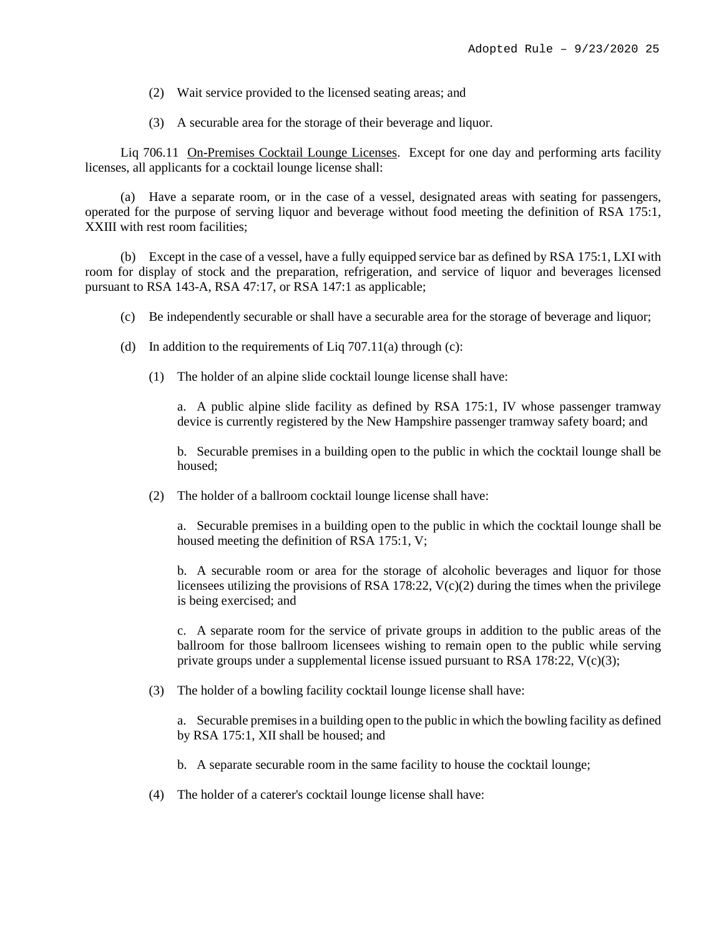- (2) Wait service provided to the licensed seating areas; and
- (3) A securable area for the storage of their beverage and liquor.

Liq 706.11 On-Premises Cocktail Lounge Licenses. Except for one day and performing arts facility licenses, all applicants for a cocktail lounge license shall:

(a) Have a separate room, or in the case of a vessel, designated areas with seating for passengers, operated for the purpose of serving liquor and beverage without food meeting the definition of RSA 175:1, XXIII with rest room facilities;

(b) Except in the case of a vessel, have a fully equipped service bar as defined by RSA 175:1, LXI with room for display of stock and the preparation, refrigeration, and service of liquor and beverages licensed pursuant to RSA 143-A, RSA 47:17, or RSA 147:1 as applicable;

- (c) Be independently securable or shall have a securable area for the storage of beverage and liquor;
- (d) In addition to the requirements of Liq  $707.11(a)$  through (c):
	- (1) The holder of an alpine slide cocktail lounge license shall have:

a. A public alpine slide facility as defined by RSA 175:1, IV whose passenger tramway device is currently registered by the New Hampshire passenger tramway safety board; and

b. Securable premises in a building open to the public in which the cocktail lounge shall be housed;

(2) The holder of a ballroom cocktail lounge license shall have:

a. Securable premises in a building open to the public in which the cocktail lounge shall be housed meeting the definition of RSA 175:1, V;

b. A securable room or area for the storage of alcoholic beverages and liquor for those licensees utilizing the provisions of RSA 178:22,  $V(c)(2)$  during the times when the privilege is being exercised; and

c. A separate room for the service of private groups in addition to the public areas of the ballroom for those ballroom licensees wishing to remain open to the public while serving private groups under a supplemental license issued pursuant to RSA 178:22,  $V(c)(3)$ ;

(3) The holder of a bowling facility cocktail lounge license shall have:

a. Securable premises in a building open to the public in which the bowling facility as defined by RSA 175:1, XII shall be housed; and

b. A separate securable room in the same facility to house the cocktail lounge;

(4) The holder of a caterer's cocktail lounge license shall have: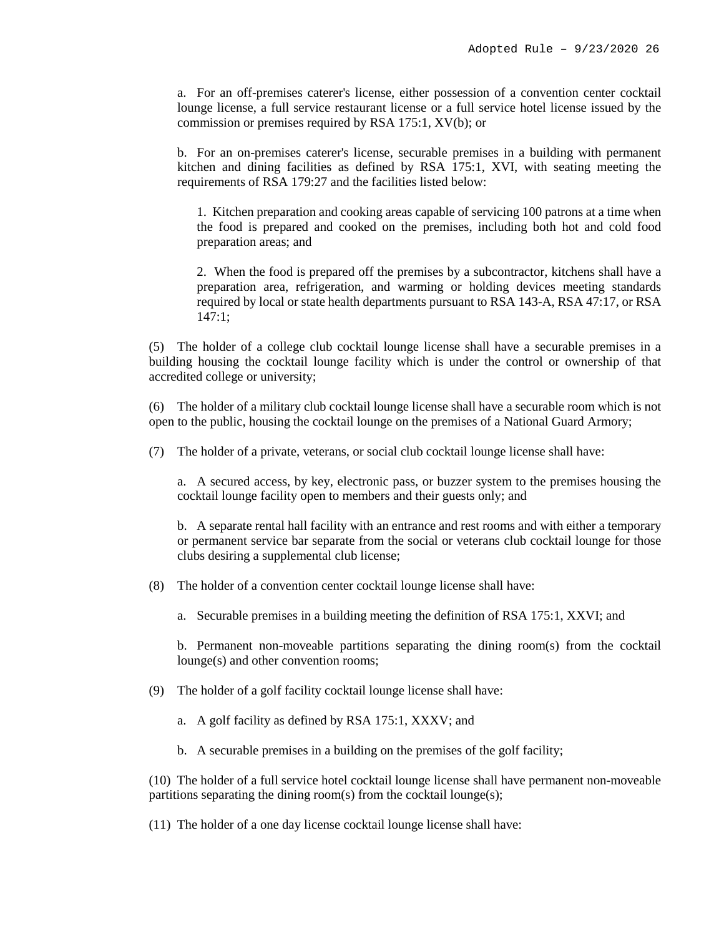a. For an off-premises caterer's license, either possession of a convention center cocktail lounge license, a full service restaurant license or a full service hotel license issued by the commission or premises required by RSA 175:1, XV(b); or

b. For an on-premises caterer's license, securable premises in a building with permanent kitchen and dining facilities as defined by RSA 175:1, XVI, with seating meeting the requirements of RSA 179:27 and the facilities listed below:

1. Kitchen preparation and cooking areas capable of servicing 100 patrons at a time when the food is prepared and cooked on the premises, including both hot and cold food preparation areas; and

2. When the food is prepared off the premises by a subcontractor, kitchens shall have a preparation area, refrigeration, and warming or holding devices meeting standards required by local or state health departments pursuant to RSA 143-A, RSA 47:17, or RSA 147:1;

(5) The holder of a college club cocktail lounge license shall have a securable premises in a building housing the cocktail lounge facility which is under the control or ownership of that accredited college or university;

(6) The holder of a military club cocktail lounge license shall have a securable room which is not open to the public, housing the cocktail lounge on the premises of a National Guard Armory;

(7) The holder of a private, veterans, or social club cocktail lounge license shall have:

a. A secured access, by key, electronic pass, or buzzer system to the premises housing the cocktail lounge facility open to members and their guests only; and

b. A separate rental hall facility with an entrance and rest rooms and with either a temporary or permanent service bar separate from the social or veterans club cocktail lounge for those clubs desiring a supplemental club license;

(8) The holder of a convention center cocktail lounge license shall have:

a. Securable premises in a building meeting the definition of RSA 175:1, XXVI; and

b. Permanent non-moveable partitions separating the dining room(s) from the cocktail lounge(s) and other convention rooms;

- (9) The holder of a golf facility cocktail lounge license shall have:
	- a. A golf facility as defined by RSA 175:1, XXXV; and
	- b. A securable premises in a building on the premises of the golf facility;

(10) The holder of a full service hotel cocktail lounge license shall have permanent non-moveable partitions separating the dining room(s) from the cocktail lounge(s);

(11) The holder of a one day license cocktail lounge license shall have: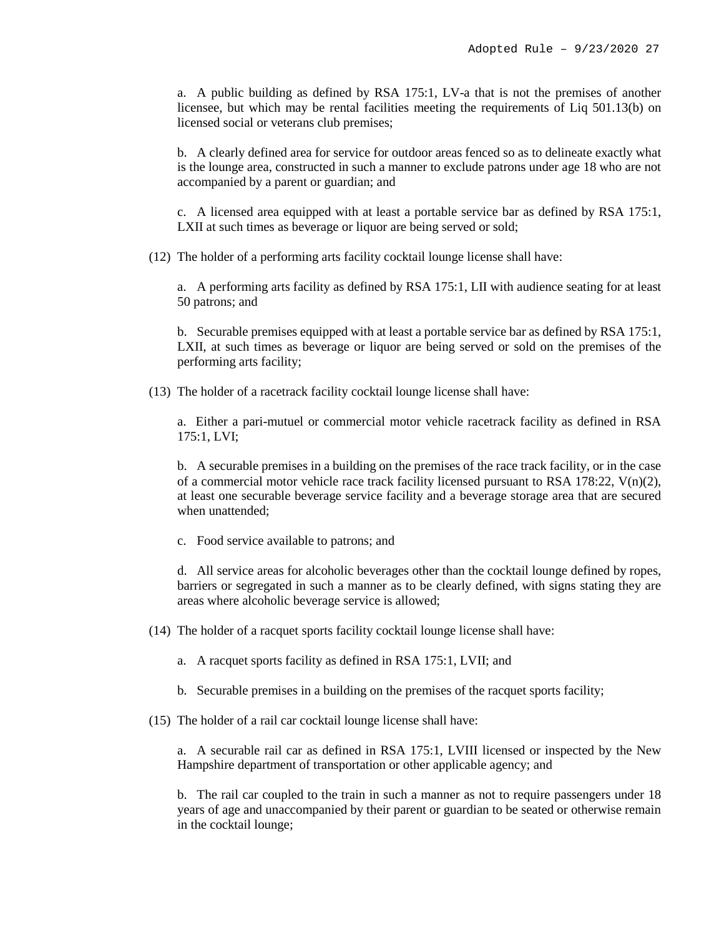a. A public building as defined by RSA 175:1, LV-a that is not the premises of another licensee, but which may be rental facilities meeting the requirements of Liq 501.13(b) on licensed social or veterans club premises;

b. A clearly defined area for service for outdoor areas fenced so as to delineate exactly what is the lounge area, constructed in such a manner to exclude patrons under age 18 who are not accompanied by a parent or guardian; and

c. A licensed area equipped with at least a portable service bar as defined by RSA 175:1, LXII at such times as beverage or liquor are being served or sold;

(12) The holder of a performing arts facility cocktail lounge license shall have:

a. A performing arts facility as defined by RSA 175:1, LII with audience seating for at least 50 patrons; and

b. Securable premises equipped with at least a portable service bar as defined by RSA 175:1, LXII, at such times as beverage or liquor are being served or sold on the premises of the performing arts facility;

(13) The holder of a racetrack facility cocktail lounge license shall have:

a. Either a pari-mutuel or commercial motor vehicle racetrack facility as defined in RSA 175:1, LVI;

b. A securable premises in a building on the premises of the race track facility, or in the case of a commercial motor vehicle race track facility licensed pursuant to RSA 178:22, V(n)(2), at least one securable beverage service facility and a beverage storage area that are secured when unattended;

c. Food service available to patrons; and

d. All service areas for alcoholic beverages other than the cocktail lounge defined by ropes, barriers or segregated in such a manner as to be clearly defined, with signs stating they are areas where alcoholic beverage service is allowed;

(14) The holder of a racquet sports facility cocktail lounge license shall have:

- a. A racquet sports facility as defined in RSA 175:1, LVII; and
- b. Securable premises in a building on the premises of the racquet sports facility;
- (15) The holder of a rail car cocktail lounge license shall have:

a. A securable rail car as defined in RSA 175:1, LVIII licensed or inspected by the New Hampshire department of transportation or other applicable agency; and

b. The rail car coupled to the train in such a manner as not to require passengers under 18 years of age and unaccompanied by their parent or guardian to be seated or otherwise remain in the cocktail lounge;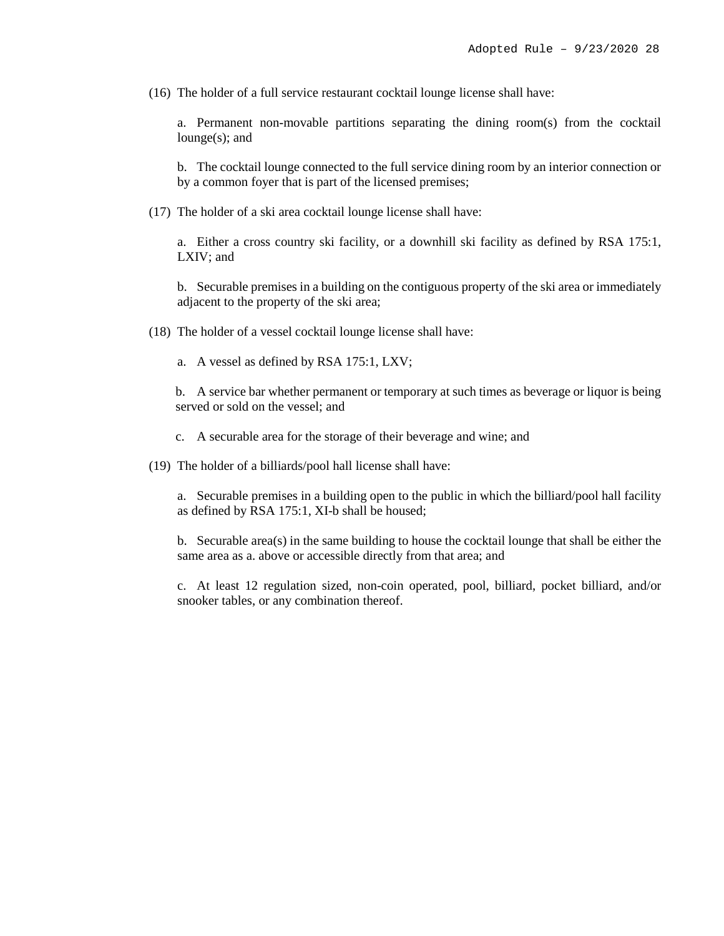(16) The holder of a full service restaurant cocktail lounge license shall have:

a. Permanent non-movable partitions separating the dining room(s) from the cocktail lounge(s); and

b. The cocktail lounge connected to the full service dining room by an interior connection or by a common foyer that is part of the licensed premises;

(17) The holder of a ski area cocktail lounge license shall have:

a. Either a cross country ski facility, or a downhill ski facility as defined by RSA 175:1, LXIV; and

b. Securable premises in a building on the contiguous property of the ski area or immediately adjacent to the property of the ski area;

(18) The holder of a vessel cocktail lounge license shall have:

a. A vessel as defined by RSA 175:1, LXV;

b. A service bar whether permanent or temporary at such times as beverage or liquor is being served or sold on the vessel; and

c. A securable area for the storage of their beverage and wine; and

(19) The holder of a billiards/pool hall license shall have:

a. Securable premises in a building open to the public in which the billiard/pool hall facility as defined by RSA 175:1, XI-b shall be housed;

b. Securable area(s) in the same building to house the cocktail lounge that shall be either the same area as a. above or accessible directly from that area; and

c. At least 12 regulation sized, non-coin operated, pool, billiard, pocket billiard, and/or snooker tables, or any combination thereof.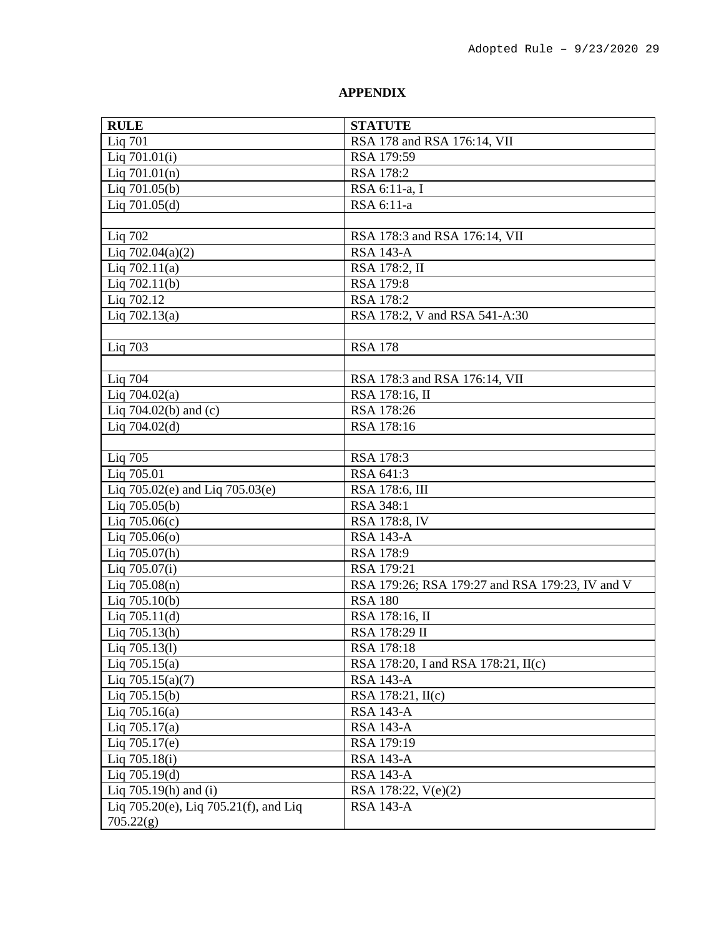# **APPENDIX**

| <b>RULE</b>                           | <b>STATUTE</b>                                  |
|---------------------------------------|-------------------------------------------------|
| Liq 701                               | RSA 178 and RSA 176:14, VII                     |
| Liq 701.01(i)                         | RSA 179:59                                      |
| Liq $701.01(n)$                       | RSA 178:2                                       |
| Liq 701.05(b)                         | RSA 6:11-a, I                                   |
| Liq $701.05(d)$                       | RSA 6:11-a                                      |
|                                       |                                                 |
| Liq 702                               | RSA 178:3 and RSA 176:14, VII                   |
| Liq $702.04(a)(2)$                    | <b>RSA 143-A</b>                                |
| Liq $702.11(a)$                       | RSA 178:2, II                                   |
| Liq $702.11(b)$                       | RSA 179:8                                       |
| Liq 702.12                            | RSA 178:2                                       |
| Liq $702.13(a)$                       | RSA 178:2, V and RSA 541-A:30                   |
|                                       |                                                 |
| Liq 703                               | <b>RSA 178</b>                                  |
|                                       |                                                 |
| Liq 704                               | RSA 178:3 and RSA 176:14, VII                   |
| Liq $704.02(a)$                       | RSA 178:16, II                                  |
| Liq $704.02(b)$ and (c)               | RSA 178:26                                      |
| Liq $704.02(d)$                       | RSA 178:16                                      |
|                                       |                                                 |
| Liq 705                               | RSA 178:3                                       |
| Liq 705.01                            | RSA 641:3                                       |
| Liq 705.02(e) and Liq 705.03(e)       | RSA 178:6, III                                  |
| Liq $705.05(b)$                       | RSA 348:1                                       |
| Liq $705.06(c)$                       | RSA 178:8, IV                                   |
| Liq $705.06(o)$                       | <b>RSA 143-A</b>                                |
| Liq 705.07(h)                         | RSA 178:9                                       |
| Liq 705.07(i)                         | RSA 179:21                                      |
| Liq 705.08(n)                         | RSA 179:26; RSA 179:27 and RSA 179:23, IV and V |
| Liq $705.10(b)$                       | <b>RSA 180</b>                                  |
| Liq 705.11(d)                         | RSA 178:16, II                                  |
| Liq $705.13(h)$                       | RSA 178:29 II                                   |
| Liq 705.13(1)                         | RSA 178:18                                      |
| Liq $705.15(a)$                       | RSA 178:20, I and RSA 178:21, II(c)             |
| Liq $705.15(a)(7)$                    | <b>RSA 143-A</b>                                |
| Liq $705.15(b)$                       | RSA 178:21, II(c)                               |
| Liq $705.16(a)$                       | <b>RSA 143-A</b>                                |
| Liq $705.17(a)$                       | <b>RSA 143-A</b>                                |
| Liq 705.17(e)                         | RSA 179:19                                      |
| Liq 705.18(i)                         | <b>RSA 143-A</b>                                |
| Liq $705.19(d)$                       | <b>RSA 143-A</b>                                |
| Liq $705.19(h)$ and (i)               | RSA 178:22, V(e)(2)                             |
| Liq 705.20(e), Liq 705.21(f), and Liq | <b>RSA 143-A</b>                                |
| 705.22(g)                             |                                                 |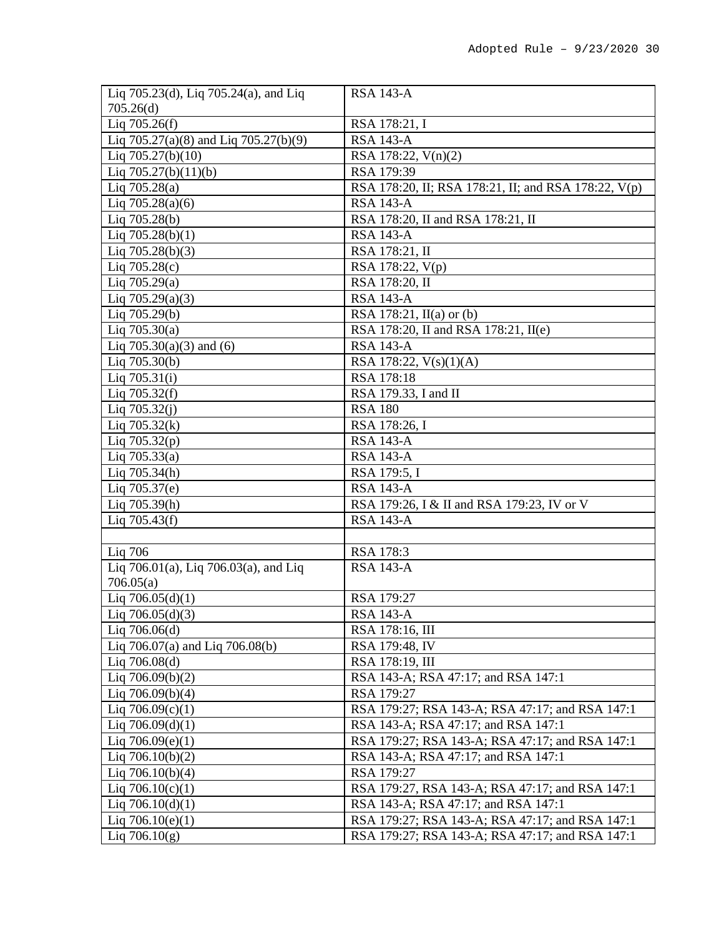| Liq 705.23(d), Liq 705.24(a), and Liq | <b>RSA 143-A</b>                                     |
|---------------------------------------|------------------------------------------------------|
| 705.26(d)                             |                                                      |
| Liq $705.26(f)$                       | RSA 178:21, I                                        |
| Liq 705.27(a)(8) and Liq 705.27(b)(9) | <b>RSA 143-A</b>                                     |
| Liq $705.27(b)(10)$                   | RSA 178:22, V(n)(2)                                  |
| Liq $705.27(b)(11)(b)$                | RSA 179:39                                           |
| Liq $705.28(a)$                       | RSA 178:20, II; RSA 178:21, II; and RSA 178:22, V(p) |
| Liq $705.28(a)(6)$                    | <b>RSA 143-A</b>                                     |
| Liq 705.28(b)                         | RSA 178:20, II and RSA 178:21, II                    |
| Liq $705.28(b)(1)$                    | <b>RSA 143-A</b>                                     |
| Liq $705.28(b)(3)$                    | RSA 178:21, II                                       |
| Liq $705.28(c)$                       | RSA 178:22, V(p)                                     |
| Liq $705.29(a)$                       | RSA 178:20, II                                       |
| Liq $705.29(a)(3)$                    | <b>RSA 143-A</b>                                     |
| Liq 705.29(b)                         | RSA 178:21, $II(a)$ or (b)                           |
| Liq $705.30(a)$                       | RSA 178:20, II and RSA 178:21, II(e)                 |
| Liq $705.30(a)(3)$ and (6)            | <b>RSA 143-A</b>                                     |
| Liq 705.30(b)                         | RSA 178:22, V(s)(1)(A)                               |
| Liq $705.31(i)$                       | RSA 178:18                                           |
|                                       | RSA 179.33, I and II                                 |
| Liq $705.32(f)$                       | <b>RSA 180</b>                                       |
| Liq $705.32(j)$                       |                                                      |
| Liq $705.32(k)$                       | RSA 178:26, I                                        |
| Liq $705.32(p)$                       | <b>RSA 143-A</b>                                     |
| Liq $705.33(a)$                       | <b>RSA 143-A</b>                                     |
| Liq $705.34(h)$                       | RSA 179:5, I                                         |
| Liq 705.37(e)                         | <b>RSA 143-A</b>                                     |
| Liq 705.39(h)                         | RSA 179:26, I & II and RSA 179:23, IV or V           |
| Liq $705.43(f)$                       | <b>RSA 143-A</b>                                     |
|                                       |                                                      |
| Liq 706                               | RSA 178:3                                            |
| Liq 706.01(a), Liq 706.03(a), and Liq | <b>RSA 143-A</b>                                     |
| 706.05(a)                             |                                                      |
| Liq $706.05(d)(1)$                    | RSA 179:27                                           |
| Liq $706.05(d)(3)$                    | <b>RSA 143-A</b>                                     |
| Liq $706.06(d)$                       | RSA 178:16, III                                      |
| Liq 706.07(a) and Liq 706.08(b)       | RSA 179:48, IV                                       |
| Liq $706.08(d)$                       | RSA 178:19, III                                      |
| Liq $706.09(b)(2)$                    | RSA 143-A; RSA 47:17; and RSA 147:1                  |
| Liq $706.09(b)(4)$                    | RSA 179:27                                           |
| Liq $706.09(c)(1)$                    | RSA 179:27; RSA 143-A; RSA 47:17; and RSA 147:1      |
| Liq $706.09(d)(1)$                    | RSA 143-A; RSA 47:17; and RSA 147:1                  |
| Liq $706.09(e)(1)$                    | RSA 179:27; RSA 143-A; RSA 47:17; and RSA 147:1      |
| Liq $706.10(b)(2)$                    | RSA 143-A; RSA 47:17; and RSA 147:1                  |
| Liq $706.10(b)(4)$                    | RSA 179:27                                           |
| Liq $706.10(c)(1)$                    | RSA 179:27, RSA 143-A; RSA 47:17; and RSA 147:1      |
| Liq $706.10(d)(1)$                    | RSA 143-A; RSA 47:17; and RSA 147:1                  |
| Liq $706.10(e)(1)$                    | RSA 179:27; RSA 143-A; RSA 47:17; and RSA 147:1      |
| Liq $706.10(g)$                       | RSA 179:27; RSA 143-A; RSA 47:17; and RSA 147:1      |